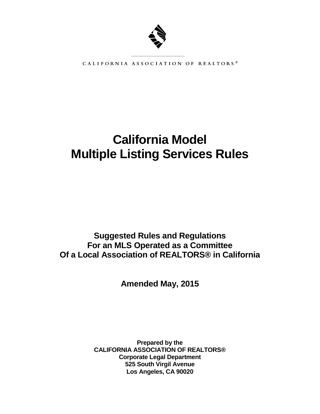

CALIFORNIA ASSOCIATION OF REALTORS®

# **California Model Multiple Listing Services Rules**

## **Suggested Rules and Regulations For an MLS Operated as a Committee Of a Local Association of REALTORS® in California**

**Amended May, 2015**

**Prepared by the CALIFORNIA ASSOCIATION OF REALTORS® Corporate Legal Department 525 South Virgil Avenue Los Angeles, CA 90020**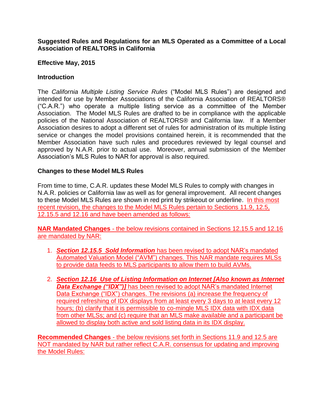**Suggested Rules and Regulations for an MLS Operated as a Committee of a Local Association of REALTORS in California**

## **Effective May, 2015**

## **Introduction**

The *California Multiple Listing Service Rules* ("Model MLS Rules") are designed and intended for use by Member Associations of the California Association of REALTORS® ("C.A.R.") who operate a multiple listing service as a committee of the Member Association. The Model MLS Rules are drafted to be in compliance with the applicable policies of the National Association of REALTORS® and California law. If a Member Association desires to adopt a different set of rules for administration of its multiple listing service or changes the model provisions contained herein, it is recommended that the Member Association have such rules and procedures reviewed by legal counsel and approved by N.A.R. prior to actual use. Moreover, annual submission of the Member Association's MLS Rules to NAR for approval is also required.

## **Changes to these Model MLS Rules**

From time to time, C.A.R. updates these Model MLS Rules to comply with changes in N.A.R. policies or California law as well as for general improvement. All recent changes to these Model MLS Rules are shown in red print by strikeout or underline. In this most recent revision, the changes to the Model MLS Rules pertain to Sections 11.9, 12.5, 12.15.5 and 12.16 and have been amended as follows:

**NAR Mandated Changes** - the below revisions contained in Sections 12.15.5 and 12.16 are mandated by NAR:

- 1. *Section 12.15.5 Sold Information* has been revised to adopt NAR's mandated Automated Valuation Model ("AVM") changes. This NAR mandate requires MLSs to provide data feeds to MLS participants to allow them to build AVMs.
- 2. *Section 12.16 Use of Listing Information on Internet [Also known as Internet*  **Data Exchange ("IDX")** has been revised to adopt NAR's mandated Internet Data Exchange ("IDX") changes. The revisions (a) increase the frequency of required refreshing of IDX displays from at least every 3 days to at least every 12 hours; (b) clarify that it is permissible to co-mingle MLS IDX data with IDX data from other MLSs; and (c) require that an MLS make available and a participant be allowed to display both active and sold listing data in its IDX display.

**Recommended Changes** - the below revisions set forth in Sections 11.9 and 12.5 are NOT mandated by NAR but rather reflect C.A.R. consensus for updating and improving the Model Rules: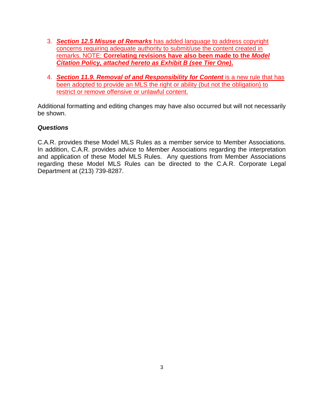- 3. *Section 12.5 Misuse of Remarks* has added language to address copyright concerns requiring adequate authority to submit/use the content created in remarks. NOTE: **Correlating revisions have also been made to the** *Model Citation Policy, attached hereto as Exhibit B (see Tier One)***.**
- 4. *Section 11.9. Removal of and Responsibility for Content* is a new rule that has been adopted to provide an MLS the right or ability (but not the obligation) to restrict or remove offensive or unlawful content.

Additional formatting and editing changes may have also occurred but will not necessarily be shown.

#### *Questions*

C.A.R. provides these Model MLS Rules as a member service to Member Associations. In addition, C.A.R. provides advice to Member Associations regarding the interpretation and application of these Model MLS Rules. Any questions from Member Associations regarding these Model MLS Rules can be directed to the C.A.R. Corporate Legal Department at (213) 739-8287.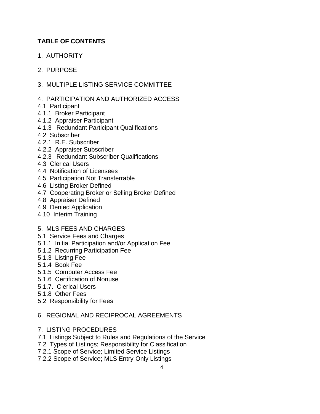## **TABLE OF CONTENTS**

1. AUTHORITY

## 2. PURPOSE

- 3. MULTIPLE LISTING SERVICE COMMITTEE
- 4. PARTICIPATION AND AUTHORIZED ACCESS
- 4.1 Participant
- 4.1.1 Broker Participant
- 4.1.2 Appraiser Participant
- 4.1.3 Redundant Participant Qualifications
- 4.2 Subscriber
- 4.2.1 R.E. Subscriber
- 4.2.2 Appraiser Subscriber
- 4.2.3 Redundant Subscriber Qualifications
- 4.3 Clerical Users
- 4.4 Notification of Licensees
- 4.5 Participation Not Transferrable
- 4.6 Listing Broker Defined
- 4.7 Cooperating Broker or Selling Broker Defined
- 4.8 Appraiser Defined
- 4.9 Denied Application
- 4.10 Interim Training

#### 5. MLS FEES AND CHARGES

- 5.1 Service Fees and Charges
- 5.1.1 Initial Participation and/or Application Fee
- 5.1.2 Recurring Participation Fee
- 5.1.3 Listing Fee
- 5.1.4 Book Fee
- 5.1.5 Computer Access Fee
- 5.1.6 Certification of Nonuse
- 5.1.7. Clerical Users
- 5.1.8 Other Fees
- 5.2 Responsibility for Fees

#### 6. REGIONAL AND RECIPROCAL AGREEMENTS

- 7. LISTING PROCEDURES
- 7.1 Listings Subject to Rules and Regulations of the Service
- 7.2 Types of Listings; Responsibility for Classification
- 7.2.1 Scope of Service; Limited Service Listings
- 7.2.2 Scope of Service; MLS Entry-Only Listings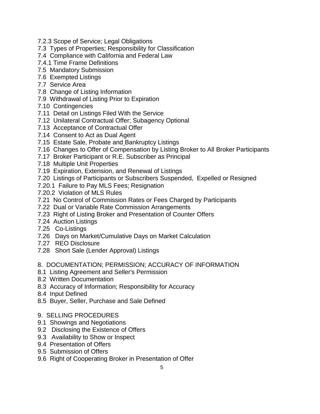- 7.2.3 Scope of Service; Legal Obligations
- 7.3 Types of Properties; Responsibility for Classification
- 7.4 Compliance with California and Federal Law
- 7.4.1 Time Frame Definitions
- 7.5 Mandatory Submission
- 7.6 Exempted Listings
- 7.7 Service Area
- 7.8 Change of Listing Information
- 7.9 Withdrawal of Listing Prior to Expiration
- 7.10 Contingencies
- 7.11 Detail on Listings Filed With the Service
- 7.12 Unilateral Contractual Offer; Subagency Optional
- 7.13 Acceptance of Contractual Offer
- 7.14 Consent to Act as Dual Agent
- 7.15 Estate Sale, Probate and Bankruptcy Listings
- 7.16 Changes to Offer of Compensation by Listing Broker to All Broker Participants
- 7.17 Broker Participant or R.E. Subscriber as Principal
- 7.18 Multiple Unit Properties
- 7.19 Expiration, Extension, and Renewal of Listings
- 7.20 Listings of Participants or Subscribers Suspended, Expelled or Resigned
- 7.20.1 Failure to Pay MLS Fees; Resignation
- 7.20.2 Violation of MLS Rules
- 7.21 No Control of Commission Rates or Fees Charged by Participants
- 7.22 Dual or Variable Rate Commission Arrangements
- 7.23 Right of Listing Broker and Presentation of Counter Offers
- 7.24 Auction Listings
- 7.25 Co-Listings
- 7.26 Days on Market/Cumulative Days on Market Calculation
- 7.27 REO Disclosure
- 7.28 Short Sale (Lender Approval) Listings

#### 8. DOCUMENTATION; PERMISSION; ACCURACY OF INFORMATION

- 8.1 Listing Agreement and Seller's Permission
- 8.2 Written Documentation
- 8.3 Accuracy of Information; Responsibility for Accuracy
- 8.4 Input Defined
- 8.5 Buyer, Seller, Purchase and Sale Defined
- 9. SELLING PROCEDURES
- 9.1 Showings and Negotiations
- 9.2 Disclosing the Existence of Offers
- 9.3 Availability to Show or Inspect
- 9.4 Presentation of Offers
- 9.5 Submission of Offers
- 9.6 Right of Cooperating Broker in Presentation of Offer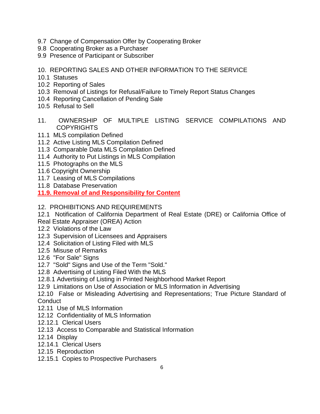- 9.7 Change of Compensation Offer by Cooperating Broker
- 9.8 Cooperating Broker as a Purchaser
- 9.9 Presence of Participant or Subscriber

## 10. REPORTING SALES AND OTHER INFORMATION TO THE SERVICE

- 10.1 Statuses
- 10.2 Reporting of Sales
- 10.3 Removal of Listings for Refusal/Failure to Timely Report Status Changes
- 10.4 Reporting Cancellation of Pending Sale
- 10.5 Refusal to Sell
- 11. OWNERSHIP OF MULTIPLE LISTING SERVICE COMPILATIONS AND **COPYRIGHTS**
- 11.1 MLS compilation Defined
- 11.2 Active Listing MLS Compilation Defined
- 11.3 Comparable Data MLS Compilation Defined
- 11.4 Authority to Put Listings in MLS Compilation
- 11.5 Photographs on the MLS
- 11.6 Copyright Ownership
- 11.7 Leasing of MLS Compilations
- 11.8 Database Preservation
- **11.9. Removal of and Responsibility for Content**
- 12. PROHIBITIONS AND REQUIREMENTS
- 12.1 Notification of California Department of Real Estate (DRE) or California Office of
- Real Estate Appraiser (OREA) Action
- 12.2 Violations of the Law
- 12.3 Supervision of Licensees and Appraisers
- 12.4 Solicitation of Listing Filed with MLS
- 12.5 Misuse of Remarks
- 12.6 "For Sale" Signs
- 12.7 "Sold" Signs and Use of the Term "Sold."
- 12.8 Advertising of Listing Filed With the MLS
- 12.8.1 Advertising of Listing in Printed Neighborhood Market Report
- 12.9 Limitations on Use of Association or MLS Information in Advertising

12.10 False or Misleading Advertising and Representations; True Picture Standard of **Conduct** 

- 12.11 Use of MLS Information
- 12.12 Confidentiality of MLS Information
- 12.12.1 Clerical Users
- 12.13 Access to Comparable and Statistical Information
- 12.14 Display
- 12.14.1 Clerical Users
- 12.15 Reproduction
- 12.15.1 Copies to Prospective Purchasers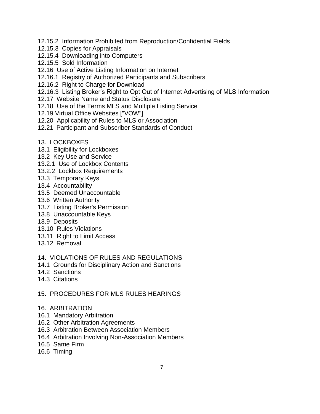- 12.15.2 Information Prohibited from Reproduction/Confidential Fields
- 12.15.3 Copies for Appraisals
- 12.15.4 Downloading into Computers
- 12.15.5 Sold Information
- 12.16 Use of Active Listing Information on Internet
- 12.16.1 Registry of Authorized Participants and Subscribers
- 12.16.2 Right to Charge for Download
- 12.16.3 Listing Broker's Right to Opt Out of Internet Advertising of MLS Information
- 12.17 Website Name and Status Disclosure
- 12.18 Use of the Terms MLS and Multiple Listing Service
- 12.19 Virtual Office Websites ["VOW"]
- 12.20 Applicability of Rules to MLS or Association
- 12.21 Participant and Subscriber Standards of Conduct

#### 13. LOCKBOXES

- 13.1 Eligibility for Lockboxes
- 13.2 Key Use and Service
- 13.2.1 Use of Lockbox Contents
- 13.2.2 Lockbox Requirements
- 13.3 Temporary Keys
- 13.4 Accountability
- 13.5 Deemed Unaccountable
- 13.6 Written Authority
- 13.7 Listing Broker's Permission
- 13.8 Unaccountable Keys
- 13.9 Deposits
- 13.10 Rules Violations
- 13.11 Right to Limit Access
- 13.12 Removal

#### 14. VIOLATIONS OF RULES AND REGULATIONS

- 14.1 Grounds for Disciplinary Action and Sanctions
- 14.2 Sanctions
- 14.3 Citations

#### 15. PROCEDURES FOR MLS RULES HEARINGS

- 16. ARBITRATION
- 16.1 Mandatory Arbitration
- 16.2 Other Arbitration Agreements
- 16.3 Arbitration Between Association Members
- 16.4 Arbitration Involving Non-Association Members
- 16.5 Same Firm
- 16.6 Timing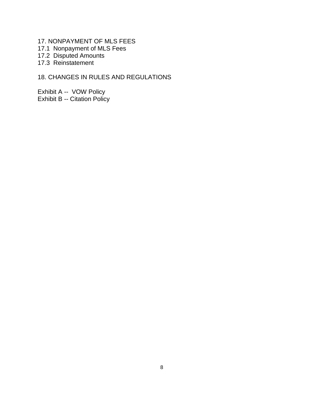- 17. NONPAYMENT OF MLS FEES
- 17.1 Nonpayment of MLS Fees
- 17.2 Disputed Amounts
- 17.3 Reinstatement

## 18. CHANGES IN RULES AND REGULATIONS

Exhibit A -- VOW Policy Exhibit B -- Citation Policy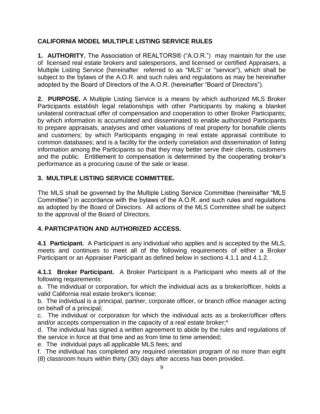## **CALIFORNIA MODEL MULTIPLE LISTING SERVICE RULES**

**1. AUTHORITY.** The Association of REALTORS® ("A.O.R.") may maintain for the use of licensed real estate brokers and salespersons, and licensed or certified Appraisers, a Multiple Listing Service (hereinafter referred to as "MLS" or "service"), which shall be subject to the bylaws of the A.O.R. and such rules and regulations as may be hereinafter adopted by the Board of Directors of the A.O.R. (hereinafter "Board of Directors").

**2. PURPOSE.** A Multiple Listing Service is a means by which authorized MLS Broker Participants establish legal relationships with other Participants by making a blanket unilateral contractual offer of compensation and cooperation to other Broker Participants; by which information is accumulated and disseminated to enable authorized Participants to prepare appraisals, analyses and other valuations of real property for bonafide clients and customers; by which Participants engaging in real estate appraisal contribute to common databases; and is a facility for the orderly correlation and dissemination of listing information among the Participants so that they may better serve their clients, customers and the public. Entitlement to compensation is determined by the cooperating broker's performance as a procuring cause of the sale or lease.

## **3. MULTIPLE LISTING SERVICE COMMITTEE.**

The MLS shall be governed by the Multiple Listing Service Committee (hereinafter "MLS Committee") in accordance with the bylaws of the A.O.R. and such rules and regulations as adopted by the Board of Directors. All actions of the MLS Committee shall be subject to the approval of the Board of Directors.

## **4. PARTICIPATION AND AUTHORIZED ACCESS.**

**4.1 Participant.** A Participant is any individual who applies and is accepted by the MLS, meets and continues to meet all of the following requirements of either a Broker Participant or an Appraiser Participant as defined below in sections 4.1.1 and 4.1.2.

**4.1.1 Broker Participant.** A Broker Participant is a Participant who meets all of the following requirements:

a. The individual or corporation, for which the individual acts as a broker/officer, holds a valid California real estate broker's license;

b. The individual is a principal, partner, corporate officer, or branch office manager acting on behalf of a principal;

c. The individual or corporation for which the individual acts as a broker/officer offers and/or accepts compensation in the capacity of a real estate broker;\*

d. The individual has signed a written agreement to abide by the rules and regulations of the service in force at that time and as from time to time amended;

e. The individual pays all applicable MLS fees; and

f. The individual has completed any required orientation program of no more than eight (8) classroom hours within thirty (30) days after access has been provided.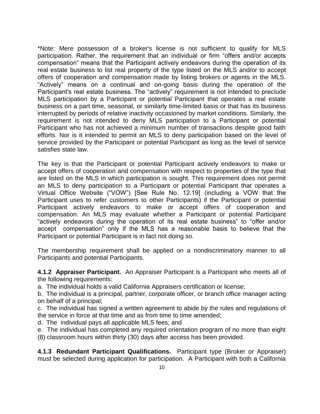\*Note: Mere possession of a broker's license is not sufficient to qualify for MLS participation. Rather, the requirement that an individual or firm "offers and/or accepts compensation" means that the Participant actively endeavors during the operation of its real estate business to list real property of the type listed on the MLS and/or to accept offers of cooperation and compensation made by listing brokers or agents in the MLS. "Actively" means on a continual and on-going basis during the operation of the Participant's real estate business. The "actively" requirement is not intended to preclude MLS participation by a Participant or potential Participant that operates a real estate business on a part time, seasonal, or similarly time-limited basis or that has its business interrupted by periods of relative inactivity occasioned by market conditions. Similarly, the requirement is not intended to deny MLS participation to a Participant or potential Participant who has not achieved a minimum number of transactions despite good faith efforts. Nor is it intended to permit an MLS to deny participation based on the level of service provided by the Participant or potential Participant as long as the level of service satisfies state law.

The key is that the Participant or potential Participant actively endeavors to make or accept offers of cooperation and compensation with respect to properties of the type that are listed on the MLS in which participation is sought. This requirement does not permit an MLS to deny participation to a Participant or potential Participant that operates a Virtual Office Website ("VOW") [See Rule No. 12.19] (including a VOW that the Participant uses to refer customers to other Participants) if the Participant or potential Participant actively endeavors to make or accept offers of cooperation and compensation. An MLS may evaluate whether a Participant or potential Participant "actively endeavors during the operation of its real estate business" to "offer and/or accept compensation" only if the MLS has a reasonable basis to believe that the Participant or potential Participant is in fact not doing so.

The membership requirement shall be applied on a nondiscriminatory manner to all Participants and potential Participants.

**4.1.2 Appraiser Participant.** An Appraiser Participant is a Participant who meets all of the following requirements:

a. The individual holds a valid California Appraisers certification or license;

b. The individual is a principal, partner, corporate officer, or branch office manager acting on behalf of a principal;

c. The individual has signed a written agreement to abide by the rules and regulations of the service in force at that time and as from time to time amended;

d. The individual pays all applicable MLS fees; and

e. The individual has completed any required orientation program of no more than eight (8) classroom hours within thirty (30) days after access has been provided.

**4.1.3 Redundant Participant Qualifications.** Participant type (Broker or Appraiser) must be selected during application for participation. A Participant with both a California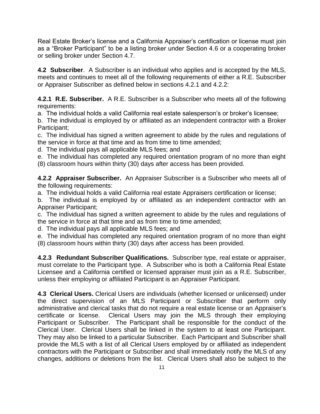Real Estate Broker's license and a California Appraiser's certification or license must join as a "Broker Participant" to be a listing broker under Section 4.6 or a cooperating broker or selling broker under Section 4.7.

**4.2 Subscriber**. A Subscriber is an individual who applies and is accepted by the MLS, meets and continues to meet all of the following requirements of either a R.E. Subscriber or Appraiser Subscriber as defined below in sections 4.2.1 and 4.2.2:

**4.2.1 R.E. Subscriber.** A R.E. Subscriber is a Subscriber who meets all of the following requirements:

a. The individual holds a valid California real estate salesperson's or broker's licensee;

b. The individual is employed by or affiliated as an independent contractor with a Broker Participant;

c. The individual has signed a written agreement to abide by the rules and regulations of the service in force at that time and as from time to time amended;

d. The individual pays all applicable MLS fees; and

e. The individual has completed any required orientation program of no more than eight (8) classroom hours within thirty (30) days after access has been provided.

**4.2.2 Appraiser Subscriber.** An Appraiser Subscriber is a Subscriber who meets all of the following requirements:

a. The individual holds a valid California real estate Appraisers certification or license;

b. The individual is employed by or affiliated as an independent contractor with an Appraiser Participant;

c. The individual has signed a written agreement to abide by the rules and regulations of the service in force at that time and as from time to time amended;

d. The individual pays all applicable MLS fees; and

e. The individual has completed any required orientation program of no more than eight (8) classroom hours within thirty (30) days after access has been provided.

**4.2.3 Redundant Subscriber Qualifications.** Subscriber type, real estate or appraiser, must correlate to the Participant type. A Subscriber who is both a California Real Estate Licensee and a California certified or licensed appraiser must join as a R.E. Subscriber, unless their employing or affiliated Participant is an Appraiser Participant.

**4.3 Clerical Users.** Clerical Users are individuals (whether licensed or unlicensed) under the direct supervision of an MLS Participant or Subscriber that perform only administrative and clerical tasks that do not require a real estate license or an Appraiser's certificate or license. Clerical Users may join the MLS through their employing Participant or Subscriber. The Participant shall be responsible for the conduct of the Clerical User. Clerical Users shall be linked in the system to at least one Participant. They may also be linked to a particular Subscriber. Each Participant and Subscriber shall provide the MLS with a list of all Clerical Users employed by or affiliated as independent contractors with the Participant or Subscriber and shall immediately notify the MLS of any changes, additions or deletions from the list. Clerical Users shall also be subject to the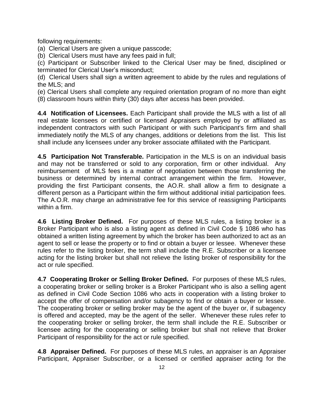following requirements:

(a) Clerical Users are given a unique passcode;

(b) Clerical Users must have any fees paid in full;

(c) Participant or Subscriber linked to the Clerical User may be fined, disciplined or terminated for Clerical User's misconduct;

(d) Clerical Users shall sign a written agreement to abide by the rules and regulations of the MLS; and

(e) Clerical Users shall complete any required orientation program of no more than eight

(8) classroom hours within thirty (30) days after access has been provided.

**4.4 Notification of Licensees.** Each Participant shall provide the MLS with a list of all real estate licensees or certified or licensed Appraisers employed by or affiliated as independent contractors with such Participant or with such Participant's firm and shall immediately notify the MLS of any changes, additions or deletions from the list. This list shall include any licensees under any broker associate affiliated with the Participant.

**4.5 Participation Not Transferable.** Participation in the MLS is on an individual basis and may not be transferred or sold to any corporation, firm or other individual. Any reimbursement of MLS fees is a matter of negotiation between those transferring the business or determined by internal contract arrangement within the firm. However, providing the first Participant consents, the AO.R. shall allow a firm to designate a different person as a Participant within the firm without additional initial participation fees. The A.O.R. may charge an administrative fee for this service of reassigning Participants within a firm.

**4.6 Listing Broker Defined.** For purposes of these MLS rules, a listing broker is a Broker Participant who is also a listing agent as defined in Civil Code § 1086 who has obtained a written listing agreement by which the broker has been authorized to act as an agent to sell or lease the property or to find or obtain a buyer or lessee. Whenever these rules refer to the listing broker, the term shall include the R.E. Subscriber or a licensee acting for the listing broker but shall not relieve the listing broker of responsibility for the act or rule specified.

**4.7 Cooperating Broker or Selling Broker Defined.** For purposes of these MLS rules, a cooperating broker or selling broker is a Broker Participant who is also a selling agent as defined in Civil Code Section 1086 who acts in cooperation with a listing broker to accept the offer of compensation and/or subagency to find or obtain a buyer or lessee. The cooperating broker or selling broker may be the agent of the buyer or, if subagency is offered and accepted, may be the agent of the seller. Whenever these rules refer to the cooperating broker or selling broker, the term shall include the R.E. Subscriber or licensee acting for the cooperating or selling broker but shall not relieve that Broker Participant of responsibility for the act or rule specified.

**4.8 Appraiser Defined.** For purposes of these MLS rules, an appraiser is an Appraiser Participant, Appraiser Subscriber, or a licensed or certified appraiser acting for the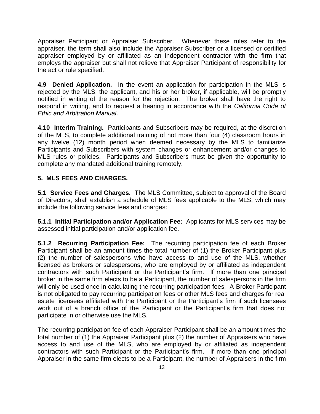Appraiser Participant or Appraiser Subscriber. Whenever these rules refer to the appraiser, the term shall also include the Appraiser Subscriber or a licensed or certified appraiser employed by or affiliated as an independent contractor with the firm that employs the appraiser but shall not relieve that Appraiser Participant of responsibility for the act or rule specified.

**4.9 Denied Application.** In the event an application for participation in the MLS is rejected by the MLS, the applicant, and his or her broker, if applicable, will be promptly notified in writing of the reason for the rejection. The broker shall have the right to respond in writing, and to request a hearing in accordance with the *California Code of Ethic and Arbitration Manual*.

**4.10 Interim Training.** Participants and Subscribers may be required, at the discretion of the MLS, to complete additional training of not more than four (4) classroom hours in any twelve (12) month period when deemed necessary by the MLS to familiarize Participants and Subscribers with system changes or enhancement and/or changes to MLS rules or policies. Participants and Subscribers must be given the opportunity to complete any mandated additional training remotely.

## **5. MLS FEES AND CHARGES.**

**5.1 Service Fees and Charges.** The MLS Committee, subject to approval of the Board of Directors, shall establish a schedule of MLS fees applicable to the MLS, which may include the following service fees and charges:

**5.1.1 Initial Participation and/or Application Fee:** Applicants for MLS services may be assessed initial participation and/or application fee.

**5.1.2 Recurring Participation Fee:** The recurring participation fee of each Broker Participant shall be an amount times the total number of (1) the Broker Participant plus (2) the number of salespersons who have access to and use of the MLS, whether licensed as brokers or salespersons, who are employed by or affiliated as independent contractors with such Participant or the Participant's firm. If more than one principal broker in the same firm elects to be a Participant, the number of salespersons in the firm will only be used once in calculating the recurring participation fees. A Broker Participant is not obligated to pay recurring participation fees or other MLS fees and charges for real estate licensees affiliated with the Participant or the Participant's firm if such licensees work out of a branch office of the Participant or the Participant's firm that does not participate in or otherwise use the MLS.

The recurring participation fee of each Appraiser Participant shall be an amount times the total number of (1) the Appraiser Participant plus (2) the number of Appraisers who have access to and use of the MLS, who are employed by or affiliated as independent contractors with such Participant or the Participant's firm. If more than one principal Appraiser in the same firm elects to be a Participant, the number of Appraisers in the firm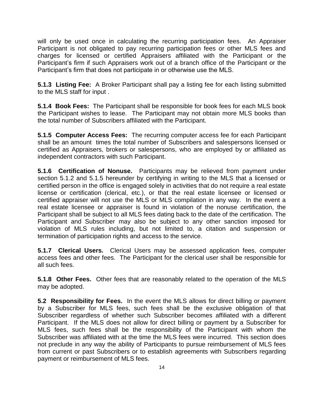will only be used once in calculating the recurring participation fees. An Appraiser Participant is not obligated to pay recurring participation fees or other MLS fees and charges for licensed or certified Appraisers affiliated with the Participant or the Participant's firm if such Appraisers work out of a branch office of the Participant or the Participant's firm that does not participate in or otherwise use the MLS.

**5.1.3 Listing Fee:** A Broker Participant shall pay a listing fee for each listing submitted to the MLS staff for input .

**5.1.4 Book Fees:** The Participant shall be responsible for book fees for each MLS book the Participant wishes to lease. The Participant may not obtain more MLS books than the total number of Subscribers affiliated with the Participant.

**5.1.5 Computer Access Fees:** The recurring computer access fee for each Participant shall be an amount times the total number of Subscribers and salespersons licensed or certified as Appraisers, brokers or salespersons, who are employed by or affiliated as independent contractors with such Participant.

**5.1.6 Certification of Nonuse.** Participants may be relieved from payment under section 5.1.2 and 5.1.5 hereunder by certifying in writing to the MLS that a licensed or certified person in the office is engaged solely in activities that do not require a real estate license or certification (clerical, etc.), or that the real estate licensee or licensed or certified appraiser will not use the MLS or MLS compilation in any way. In the event a real estate licensee or appraiser is found in violation of the nonuse certification, the Participant shall be subject to all MLS fees dating back to the date of the certification. The Participant and Subscriber may also be subject to any other sanction imposed for violation of MLS rules including, but not limited to, a citation and suspension or termination of participation rights and access to the service.

**5.1.7 Clerical Users.** Clerical Users may be assessed application fees, computer access fees and other fees. The Participant for the clerical user shall be responsible for all such fees.

**5.1.8 Other Fees.** Other fees that are reasonably related to the operation of the MLS may be adopted.

**5.2 Responsibility for Fees.** In the event the MLS allows for direct billing or payment by a Subscriber for MLS fees, such fees shall be the exclusive obligation of that Subscriber regardless of whether such Subscriber becomes affiliated with a different Participant. If the MLS does not allow for direct billing or payment by a Subscriber for MLS fees, such fees shall be the responsibility of the Participant with whom the Subscriber was affiliated with at the time the MLS fees were incurred. This section does not preclude in any way the ability of Participants to pursue reimbursement of MLS fees from current or past Subscribers or to establish agreements with Subscribers regarding payment or reimbursement of MLS fees.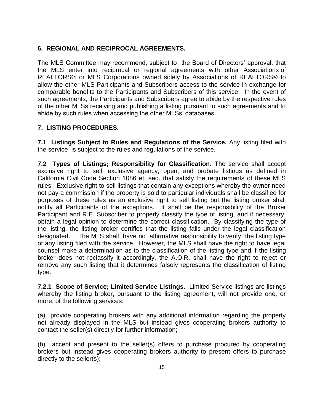## **6. REGIONAL AND RECIPROCAL AGREEMENTS.**

The MLS Committee may recommend, subject to the Board of Directors' approval, that the MLS enter into reciprocal or regional agreements with other Associations of REALTORS® or MLS Corporations owned solely by Associations of REALTORS® to allow the other MLS Participants and Subscribers access to the service in exchange for comparable benefits to the Participants and Subscribers of this service. In the event of such agreements, the Participants and Subscribers agree to abide by the respective rules of the other MLSs receiving and publishing a listing pursuant to such agreements and to abide by such rules when accessing the other MLSs' databases.

## **7. LISTING PROCEDURES.**

**7.1 Listings Subject to Rules and Regulations of the Service.** Any listing filed with the service is subject to the rules and regulations of the service.

**7.2 Types of Listings; Responsibility for Classification.** The service shall accept exclusive right to sell, exclusive agency, open, and probate listings as defined in California Civil Code Section 1086 et. seq. that satisfy the requirements of these MLS rules. Exclusive right to sell listings that contain any exceptions whereby the owner need not pay a commission if the property is sold to particular individuals shall be classified for purposes of these rules as an exclusive right to sell listing but the listing broker shall notify all Participants of the exceptions. It shall be the responsibility of the Broker Participant and R.E. Subscriber to properly classify the type of listing, and if necessary, obtain a legal opinion to determine the correct classification. By classifying the type of the listing, the listing broker certifies that the listing falls under the legal classification designated. The MLS shall have no affirmative responsibility to verify the listing type of any listing filed with the service. However, the MLS shall have the right to have legal counsel make a determination as to the classification of the listing type and if the listing broker does not reclassify it accordingly, the A.O.R. shall have the right to reject or remove any such listing that it determines falsely represents the classification of listing type.

**7.2.1 Scope of Service; Limited Service Listings.** Limited Service listings are listings whereby the listing broker, pursuant to the listing agreement, will not provide one, or more, of the following services:

(a) provide cooperating brokers with any additional information regarding the property not already displayed in the MLS but instead gives cooperating brokers authority to contact the seller(s) directly for further information;

(b) accept and present to the seller(s) offers to purchase procured by cooperating brokers but instead gives cooperating brokers authority to present offers to purchase directly to the seller(s);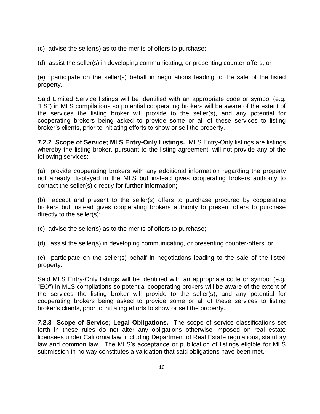- (c) advise the seller(s) as to the merits of offers to purchase;
- (d) assist the seller(s) in developing communicating, or presenting counter-offers; or

(e) participate on the seller(s) behalf in negotiations leading to the sale of the listed property.

Said Limited Service listings will be identified with an appropriate code or symbol (e.g. "LS") in MLS compilations so potential cooperating brokers will be aware of the extent of the services the listing broker will provide to the seller(s), and any potential for cooperating brokers being asked to provide some or all of these services to listing broker's clients, prior to initiating efforts to show or sell the property.

**7.2.2 Scope of Service; MLS Entry-Only Listings.** MLS Entry-Only listings are listings whereby the listing broker, pursuant to the listing agreement, will not provide any of the following services:

(a) provide cooperating brokers with any additional information regarding the property not already displayed in the MLS but instead gives cooperating brokers authority to contact the seller(s) directly for further information;

(b) accept and present to the seller(s) offers to purchase procured by cooperating brokers but instead gives cooperating brokers authority to present offers to purchase directly to the seller(s);

(c) advise the seller(s) as to the merits of offers to purchase;

(d) assist the seller(s) in developing communicating, or presenting counter-offers; or

(e) participate on the seller(s) behalf in negotiations leading to the sale of the listed property.

Said MLS Entry-Only listings will be identified with an appropriate code or symbol (e.g. "EO") in MLS compilations so potential cooperating brokers will be aware of the extent of the services the listing broker will provide to the seller(s), and any potential for cooperating brokers being asked to provide some or all of these services to listing broker's clients, prior to initiating efforts to show or sell the property.

**7.2.3 Scope of Service; Legal Obligations.** The scope of service classifications set forth in these rules do not alter any obligations otherwise imposed on real estate licensees under California law, including Department of Real Estate regulations, statutory law and common law. The MLS's acceptance or publication of listings eligible for MLS submission in no way constitutes a validation that said obligations have been met.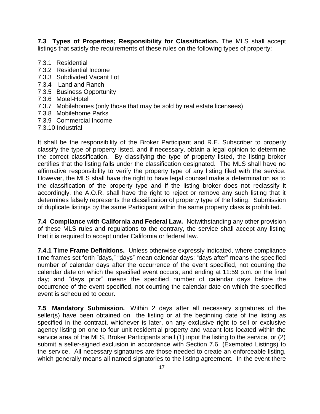**7.3 Types of Properties; Responsibility for Classification.** The MLS shall accept listings that satisfy the requirements of these rules on the following types of property:

- 7.3.1 Residential
- 7.3.2 Residential Income
- 7.3.3 Subdivided Vacant Lot
- 7.3.4 Land and Ranch
- 7.3.5 Business Opportunity
- 7.3.6 Motel-Hotel
- 7.3.7 Mobilehomes (only those that may be sold by real estate licensees)
- 7.3.8 Mobilehome Parks
- 7.3.9 Commercial Income
- 7.3.10 Industrial

It shall be the responsibility of the Broker Participant and R.E. Subscriber to properly classify the type of property listed, and if necessary, obtain a legal opinion to determine the correct classification. By classifying the type of property listed, the listing broker certifies that the listing falls under the classification designated. The MLS shall have no affirmative responsibility to verify the property type of any listing filed with the service. However, the MLS shall have the right to have legal counsel make a determination as to the classification of the property type and if the listing broker does not reclassify it accordingly, the A.O.R. shall have the right to reject or remove any such listing that it determines falsely represents the classification of property type of the listing. Submission of duplicate listings by the same Participant within the same property class is prohibited.

**7.4 Compliance with California and Federal Law.** Notwithstanding any other provision of these MLS rules and regulations to the contrary, the service shall accept any listing that it is required to accept under California or federal law.

**7.4.1 Time Frame Definitions.** Unless otherwise expressly indicated, where compliance time frames set forth "days," "days" mean calendar days; "days after" means the specified number of calendar days after the occurrence of the event specified, not counting the calendar date on which the specified event occurs, and ending at 11:59 p.m. on the final day; and "days prior" means the specified number of calendar days before the occurrence of the event specified, not counting the calendar date on which the specified event is scheduled to occur.

**7.5 Mandatory Submission.** Within 2 days after all necessary signatures of the seller(s) have been obtained on the listing or at the beginning date of the listing as specified in the contract, whichever is later, on any exclusive right to sell or exclusive agency listing on one to four unit residential property and vacant lots located within the service area of the MLS, Broker Participants shall (1) input the listing to the service, or (2) submit a seller-signed exclusion in accordance with Section 7.6 (Exempted Listings) to the service. All necessary signatures are those needed to create an enforceable listing, which generally means all named signatories to the listing agreement. In the event there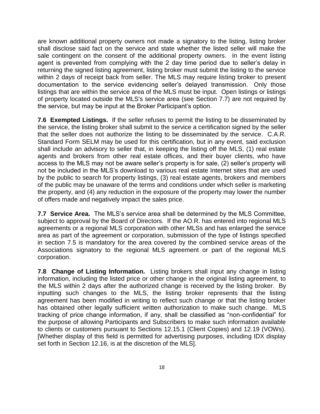are known additional property owners not made a signatory to the listing, listing broker shall disclose said fact on the service and state whether the listed seller will make the sale contingent on the consent of the additional property owners. In the event listing agent is prevented from complying with the 2 day time period due to seller's delay in returning the signed listing agreement, listing broker must submit the listing to the service within 2 days of receipt back from seller. The MLS may require listing broker to present documentation to the service evidencing seller's delayed transmission. Only those listings that are within the service area of the MLS must be input. Open listings or listings of property located outside the MLS's service area (see Section 7.7) are not required by the service, but may be input at the Broker Participant's option.

**7.6 Exempted Listings.** If the seller refuses to permit the listing to be disseminated by the service, the listing broker shall submit to the service a certification signed by the seller that the seller does not authorize the listing to be disseminated by the service. C.A.R. Standard Form SELM may be used for this certification, but in any event, said exclusion shall include an advisory to seller that, in keeping the listing off the MLS, (1) real estate agents and brokers from other real estate offices, and their buyer clients, who have access to the MLS may not be aware seller's property is for sale, (2) seller's property will not be included in the MLS's download to various real estate Internet sites that are used by the public to search for property listings, (3) real estate agents, brokers and members of the public may be unaware of the terms and conditions under which seller is marketing the property, and (4) any reduction in the exposure of the property may lower the number of offers made and negatively impact the sales price.

**7.7 Service Area.** The MLS's service area shall be determined by the MLS Committee, subject to approval by the Board of Directors. If the AO.R. has entered into regional MLS agreements or a regional MLS corporation with other MLSs and has enlarged the service area as part of the agreement or corporation, submission of the type of listings specified in section 7.5 is mandatory for the area covered by the combined service areas of the Associations signatory to the regional MLS agreement or part of the regional MLS corporation.

**7.8 Change of Listing Information.** Listing brokers shall input any change in listing information, including the listed price or other change in the original listing agreement, to the MLS within 2 days after the authorized change is received by the listing broker. By inputting such changes to the MLS, the listing broker represents that the listing agreement has been modified in writing to reflect such change or that the listing broker has obtained other legally sufficient written authorization to make such change. MLS tracking of price change information, if any, shall be classified as "non-confidential" for the purpose of allowing Participants and Subscribers to make such information available to clients or customers pursuant to Sections 12.15.1 (Client Copies) and 12.19 (VOWs). [Whether display of this field is permitted for advertising purposes, including IDX display set forth in Section 12.16, is at the discretion of the MLS].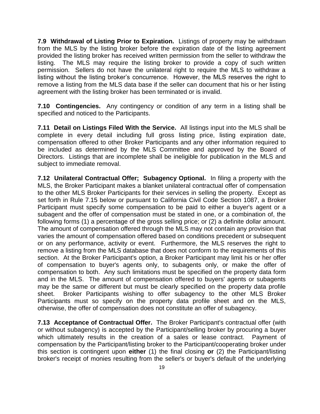**7.9 Withdrawal of Listing Prior to Expiration.** Listings of property may be withdrawn from the MLS by the listing broker before the expiration date of the listing agreement provided the listing broker has received written permission from the seller to withdraw the listing. The MLS may require the listing broker to provide a copy of such written permission. Sellers do not have the unilateral right to require the MLS to withdraw a listing without the listing broker's concurrence. However, the MLS reserves the right to remove a listing from the MLS data base if the seller can document that his or her listing agreement with the listing broker has been terminated or is invalid.

**7.10 Contingencies.** Any contingency or condition of any term in a listing shall be specified and noticed to the Participants.

**7.11 Detail on Listings Filed With the Service.** All listings input into the MLS shall be complete in every detail including full gross listing price, listing expiration date, compensation offered to other Broker Participants and any other information required to be included as determined by the MLS Committee and approved by the Board of Directors. Listings that are incomplete shall be ineligible for publication in the MLS and subject to immediate removal.

**7.12 Unilateral Contractual Offer; Subagency Optional.** In filing a property with the MLS, the Broker Participant makes a blanket unilateral contractual offer of compensation to the other MLS Broker Participants for their services in selling the property. Except as set forth in Rule 7.15 below or pursuant to California Civil Code Section 1087, a Broker Participant must specify some compensation to be paid to either a buyer's agent or a subagent and the offer of compensation must be stated in one, or a combination of, the following forms (1) a percentage of the gross selling price; or (2) a definite dollar amount. The amount of compensation offered through the MLS may not contain any provision that varies the amount of compensation offered based on conditions precedent or subsequent or on any performance, activity or event. Furthermore, the MLS reserves the right to remove a listing from the MLS database that does not conform to the requirements of this section. At the Broker Participant's option, a Broker Participant may limit his or her offer of compensation to buyer's agents only, to subagents only, or make the offer of compensation to both. Any such limitations must be specified on the property data form and in the MLS. The amount of compensation offered to buyers' agents or subagents may be the same or different but must be clearly specified on the property data profile sheet. Broker Participants wishing to offer subagency to the other MLS Broker Participants must so specify on the property data profile sheet and on the MLS, otherwise, the offer of compensation does not constitute an offer of subagency.

**7.13 Acceptance of Contractual Offer.** The Broker Participant's contractual offer (with or without subagency) is accepted by the Participant/selling broker by procuring a buyer which ultimately results in the creation of a sales or lease contract. Payment of compensation by the Participant/listing broker to the Participant/cooperating broker under this section is contingent upon **either** (1) the final closing **or** (2) the Participant/listing broker's receipt of monies resulting from the seller's or buyer's default of the underlying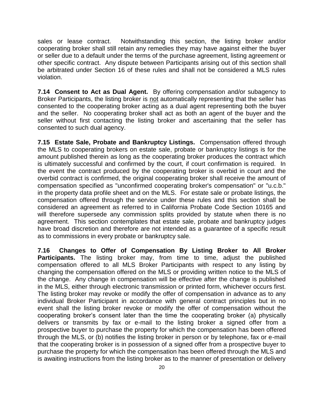sales or lease contract. Notwithstanding this section, the listing broker and/or cooperating broker shall still retain any remedies they may have against either the buyer or seller due to a default under the terms of the purchase agreement, listing agreement or other specific contract. Any dispute between Participants arising out of this section shall be arbitrated under Section 16 of these rules and shall not be considered a MLS rules violation.

**7.14 Consent to Act as Dual Agent.** By offering compensation and/or subagency to Broker Participants, the listing broker is not automatically representing that the seller has consented to the cooperating broker acting as a dual agent representing both the buyer and the seller. No cooperating broker shall act as both an agent of the buyer and the seller without first contacting the listing broker and ascertaining that the seller has consented to such dual agency.

**7.15 Estate Sale, Probate and Bankruptcy Listings.** Compensation offered through the MLS to cooperating brokers on estate sale, probate or bankruptcy listings is for the amount published therein as long as the cooperating broker produces the contract which is ultimately successful and confirmed by the court, if court confirmation is required. In the event the contract produced by the cooperating broker is overbid in court and the overbid contract is confirmed, the original cooperating broker shall receive the amount of compensation specified as "unconfirmed cooperating broker's compensation" or "u.c.b." in the property data profile sheet and on the MLS. For estate sale or probate listings, the compensation offered through the service under these rules and this section shall be considered an agreement as referred to in California Probate Code Section 10165 and will therefore supersede any commission splits provided by statute when there is no agreement. This section contemplates that estate sale, probate and bankruptcy judges have broad discretion and therefore are not intended as a guarantee of a specific result as to commissions in every probate or bankruptcy sale.

**7.16 Changes to Offer of Compensation By Listing Broker to All Broker Participants.** The listing broker may, from time to time, adjust the published compensation offered to all MLS Broker Participants with respect to any listing by changing the compensation offered on the MLS or providing written notice to the MLS of the change. Any change in compensation will be effective after the change is published in the MLS, either through electronic transmission or printed form, whichever occurs first. The listing broker may revoke or modify the offer of compensation in advance as to any individual Broker Participant in accordance with general contract principles but in no event shall the listing broker revoke or modify the offer of compensation without the cooperating broker's consent later than the time the cooperating broker (a) physically delivers or transmits by fax or e-mail to the listing broker a signed offer from a prospective buyer to purchase the property for which the compensation has been offered through the MLS, or (b) notifies the listing broker in person or by telephone, fax or e-mail that the cooperating broker is in possession of a signed offer from a prospective buyer to purchase the property for which the compensation has been offered through the MLS and is awaiting instructions from the listing broker as to the manner of presentation or delivery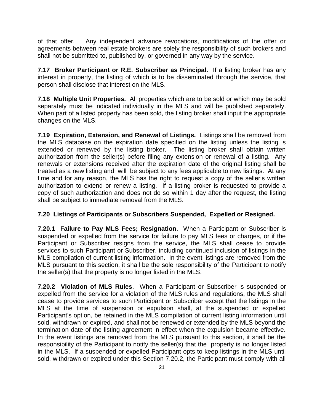of that offer. Any independent advance revocations, modifications of the offer or agreements between real estate brokers are solely the responsibility of such brokers and shall not be submitted to, published by, or governed in any way by the service.

**7.17 Broker Participant or R.E. Subscriber as Principal.** If a listing broker has any interest in property, the listing of which is to be disseminated through the service, that person shall disclose that interest on the MLS.

**7.18 Multiple Unit Properties.** All properties which are to be sold or which may be sold separately must be indicated individually in the MLS and will be published separately. When part of a listed property has been sold, the listing broker shall input the appropriate changes on the MLS.

**7.19 Expiration, Extension, and Renewal of Listings.** Listings shall be removed from the MLS database on the expiration date specified on the listing unless the listing is extended or renewed by the listing broker. The listing broker shall obtain written authorization from the seller(s) before filing any extension or renewal of a listing. Any renewals or extensions received after the expiration date of the original listing shall be treated as a new listing and will be subject to any fees applicable to new listings. At any time and for any reason, the MLS has the right to request a copy of the seller's written authorization to extend or renew a listing. If a listing broker is requested to provide a copy of such authorization and does not do so within 1 day after the request, the listing shall be subject to immediate removal from the MLS.

#### **7.20 Listings of Participants or Subscribers Suspended, Expelled or Resigned.**

**7.20.1 Failure to Pay MLS Fees; Resignation**. When a Participant or Subscriber is suspended or expelled from the service for failure to pay MLS fees or charges, or if the Participant or Subscriber resigns from the service, the MLS shall cease to provide services to such Participant or Subscriber, including continued inclusion of listings in the MLS compilation of current listing information. In the event listings are removed from the MLS pursuant to this section, it shall be the sole responsibility of the Participant to notify the seller(s) that the property is no longer listed in the MLS.

**7.20.2 Violation of MLS Rules**. When a Participant or Subscriber is suspended or expelled from the service for a violation of the MLS rules and regulations, the MLS shall cease to provide services to such Participant or Subscriber except that the listings in the MLS at the time of suspension or expulsion shall, at the suspended or expelled Participant's option, be retained in the MLS compilation of current listing information until sold, withdrawn or expired, and shall not be renewed or extended by the MLS beyond the termination date of the listing agreement in effect when the expulsion became effective. In the event listings are removed from the MLS pursuant to this section, it shall be the responsibility of the Participant to notify the seller(s) that the property is no longer listed in the MLS. If a suspended or expelled Participant opts to keep listings in the MLS until sold, withdrawn or expired under this Section 7.20.2, the Participant must comply with all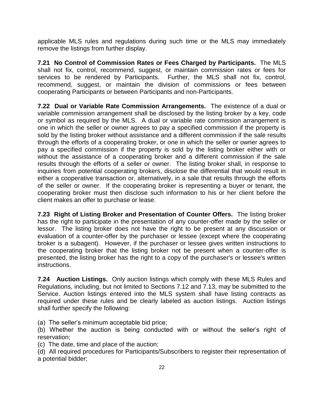applicable MLS rules and regulations during such time or the MLS may immediately remove the listings from further display.

**7.21 No Control of Commission Rates or Fees Charged by Participants.** The MLS shall not fix, control, recommend, suggest, or maintain commission rates or fees for services to be rendered by Participants. Further, the MLS shall not fix, control, recommend, suggest, or maintain the division of commissions or fees between cooperating Participants or between Participants and non-Participants.

**7.22 Dual or Variable Rate Commission Arrangements.** The existence of a dual or variable commission arrangement shall be disclosed by the listing broker by a key, code or symbol as required by the MLS. A dual or variable rate commission arrangement is one in which the seller or owner agrees to pay a specified commission if the property is sold by the listing broker without assistance and a different commission if the sale results through the efforts of a cooperating broker, or one in which the seller or owner agrees to pay a specified commission if the property is sold by the listing broker either with or without the assistance of a cooperating broker and a different commission if the sale results through the efforts of a seller or owner. The listing broker shall, in response to inquiries from potential cooperating brokers, disclose the differential that would result in either a cooperative transaction or, alternatively, in a sale that results through the efforts of the seller or owner. If the cooperating broker is representing a buyer or tenant, the cooperating broker must then disclose such information to his or her client before the client makes an offer to purchase or lease.

**7.23 Right of Listing Broker and Presentation of Counter Offers.** The listing broker has the right to participate in the presentation of any counter-offer made by the seller or lessor. The listing broker does not have the right to be present at any discussion or evaluation of a counter-offer by the purchaser or lessee (except where the cooperating broker is a subagent). However, if the purchaser or lessee gives written instructions to the cooperating broker that the listing broker not be present when a counter-offer is presented, the listing broker has the right to a copy of the purchaser's or lessee's written instructions.

**7.24 Auction Listings.** Only auction listings which comply with these MLS Rules and Regulations, including, but not limited to Sections 7.12 and 7.13, may be submitted to the Service. Auction listings entered into the MLS system shall have listing contracts as required under these rules and be clearly labeled as auction listings. Auction listings shall further specify the following:

(a) The seller's minimum acceptable bid price;

(b) Whether the auction is being conducted with or without the seller's right of reservation;

(c) The date, time and place of the auction;

(d) All required procedures for Participants/Subscribers to register their representation of a potential bidder;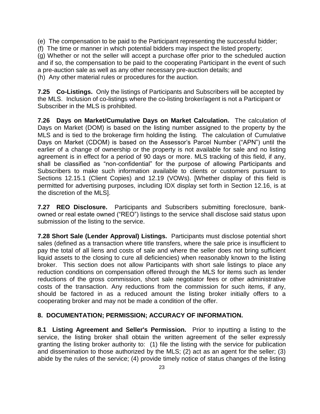(e) The compensation to be paid to the Participant representing the successful bidder;

(f) The time or manner in which potential bidders may inspect the listed property;

(g) Whether or not the seller will accept a purchase offer prior to the scheduled auction and if so, the compensation to be paid to the cooperating Participant in the event of such a pre-auction sale as well as any other necessary pre-auction details; and (h) Any other material rules or procedures for the auction.

**7.25 Co-Listings.** Only the listings of Participants and Subscribers will be accepted by the MLS. Inclusion of co-listings where the co-listing broker/agent is not a Participant or Subscriber in the MLS is prohibited.

**7.26 Days on Market/Cumulative Days on Market Calculation.** The calculation of Days on Market (DOM) is based on the listing number assigned to the property by the MLS and is tied to the brokerage firm holding the listing. The calculation of Cumulative Days on Market (CDOM) is based on the Assessor's Parcel Number ("APN") until the earlier of a change of ownership or the property is not available for sale and no listing agreement is in effect for a period of 90 days or more. MLS tracking of this field, if any, shall be classified as "non-confidential" for the purpose of allowing Participants and Subscribers to make such information available to clients or customers pursuant to Sections 12.15.1 (Client Copies) and 12.19 (VOWs). [Whether display of this field is permitted for advertising purposes, including IDX display set forth in Section 12.16, is at the discretion of the MLS].

**7.27 REO Disclosure.** Participants and Subscribers submitting foreclosure, bankowned or real estate owned ("REO") listings to the service shall disclose said status upon submission of the listing to the service.

**7.28 Short Sale (Lender Approval) Listings.** Participants must disclose potential short sales (defined as a transaction where title transfers, where the sale price is insufficient to pay the total of all liens and costs of sale and where the seller does not bring sufficient liquid assets to the closing to cure all deficiencies) when reasonably known to the listing broker. This section does not allow Participants with short sale listings to place any reduction conditions on compensation offered through the MLS for items such as lender reductions of the gross commission, short sale negotiator fees or other administrative costs of the transaction. Any reductions from the commission for such items, if any, should be factored in as a reduced amount the listing broker initially offers to a cooperating broker and may not be made a condition of the offer.

#### **8. DOCUMENTATION; PERMISSION; ACCURACY OF INFORMATION.**

**8.1 Listing Agreement and Seller's Permission.** Prior to inputting a listing to the service, the listing broker shall obtain the written agreement of the seller expressly granting the listing broker authority to: (1) file the listing with the service for publication and dissemination to those authorized by the MLS; (2) act as an agent for the seller; (3) abide by the rules of the service; (4) provide timely notice of status changes of the listing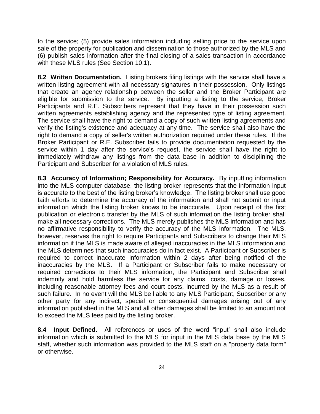to the service; (5) provide sales information including selling price to the service upon sale of the property for publication and dissemination to those authorized by the MLS and (6) publish sales information after the final closing of a sales transaction in accordance with these MLS rules (See Section 10.1).

**8.2 Written Documentation.** Listing brokers filing listings with the service shall have a written listing agreement with all necessary signatures in their possession. Only listings that create an agency relationship between the seller and the Broker Participant are eligible for submission to the service. By inputting a listing to the service, Broker Participants and R.E. Subscribers represent that they have in their possession such written agreements establishing agency and the represented type of listing agreement. The service shall have the right to demand a copy of such written listing agreements and verify the listing's existence and adequacy at any time. The service shall also have the right to demand a copy of seller's written authorization required under these rules. If the Broker Participant or R.E. Subscriber fails to provide documentation requested by the service within 1 day after the service's request, the service shall have the right to immediately withdraw any listings from the data base in addition to disciplining the Participant and Subscriber for a violation of MLS rules.

**8.3 Accuracy of Information; Responsibility for Accuracy.** By inputting information into the MLS computer database, the listing broker represents that the information input is accurate to the best of the listing broker's knowledge. The listing broker shall use good faith efforts to determine the accuracy of the information and shall not submit or input information which the listing broker knows to be inaccurate. Upon receipt of the first publication or electronic transfer by the MLS of such information the listing broker shall make all necessary corrections. The MLS merely publishes the MLS information and has no affirmative responsibility to verify the accuracy of the MLS information. The MLS, however, reserves the right to require Participants and Subscribers to change their MLS information if the MLS is made aware of alleged inaccuracies in the MLS information and the MLS determines that such inaccuracies do in fact exist. A Participant or Subscriber is required to correct inaccurate information within 2 days after being notified of the inaccuracies by the MLS. If a Participant or Subscriber fails to make necessary or required corrections to their MLS information, the Participant and Subscriber shall indemnify and hold harmless the service for any claims, costs, damage or losses, including reasonable attorney fees and court costs, incurred by the MLS as a result of such failure. In no event will the MLS be liable to any MLS Participant, Subscriber or any other party for any indirect, special or consequential damages arising out of any information published in the MLS and all other damages shall be limited to an amount not to exceed the MLS fees paid by the listing broker.

**8.4 Input Defined.** All references or uses of the word "input" shall also include information which is submitted to the MLS for input in the MLS data base by the MLS staff, whether such information was provided to the MLS staff on a "property data form" or otherwise.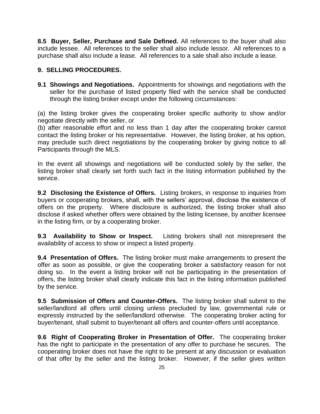**8.5 Buyer, Seller, Purchase and Sale Defined.** All references to the buyer shall also include lessee. All references to the seller shall also include lessor. All references to a purchase shall also include a lease. All references to a sale shall also include a lease.

#### **9. SELLING PROCEDURES.**

**9.1 Showings and Negotiations.** Appointments for showings and negotiations with the seller for the purchase of listed property filed with the service shall be conducted through the listing broker except under the following circumstances:

(a) the listing broker gives the cooperating broker specific authority to show and/or negotiate directly with the seller, or

(b) after reasonable effort and no less than 1 day after the cooperating broker cannot contact the listing broker or his representative. However, the listing broker, at his option, may preclude such direct negotiations by the cooperating broker by giving notice to all Participants through the MLS.

In the event all showings and negotiations will be conducted solely by the seller, the listing broker shall clearly set forth such fact in the listing information published by the service.

**9.2 Disclosing the Existence of Offers.** Listing brokers, in response to inquiries from buyers or cooperating brokers, shall, with the sellers' approval, disclose the existence of offers on the property. Where disclosure is authorized, the listing broker shall also disclose if asked whether offers were obtained by the listing licensee, by another licensee in the listing firm, or by a cooperating broker.

**9.3 Availability to Show or Inspect.** Listing brokers shall not misrepresent the availability of access to show or inspect a listed property.

**9.4 Presentation of Offers.** The listing broker must make arrangements to present the offer as soon as possible, or give the cooperating broker a satisfactory reason for not doing so. In the event a listing broker will not be participating in the presentation of offers, the listing broker shall clearly indicate this fact in the listing information published by the service.

**9.5 Submission of Offers and Counter-Offers.** The listing broker shall submit to the seller/landlord all offers until closing unless precluded by law, governmental rule or expressly instructed by the seller/landlord otherwise. The cooperating broker acting for buyer/tenant, shall submit to buyer/tenant all offers and counter-offers until acceptance.

**9.6 Right of Cooperating Broker in Presentation of Offer.** The cooperating broker has the right to participate in the presentation of any offer to purchase he secures. The cooperating broker does not have the right to be present at any discussion or evaluation of that offer by the seller and the listing broker. However, if the seller gives written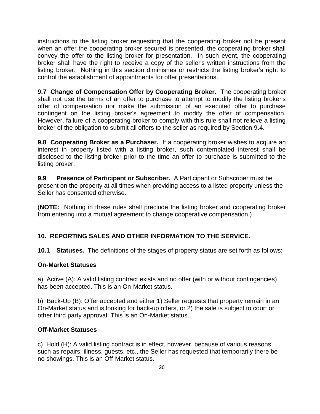instructions to the listing broker requesting that the cooperating broker not be present when an offer the cooperating broker secured is presented, the cooperating broker shall convey the offer to the listing broker for presentation. In such event, the cooperating broker shall have the right to receive a copy of the seller's written instructions from the listing broker. Nothing in this section diminishes or restricts the listing broker's right to control the establishment of appointments for offer presentations.

**9.7 Change of Compensation Offer by Cooperating Broker.** The cooperating broker shall not use the terms of an offer to purchase to attempt to modify the listing broker's offer of compensation nor make the submission of an executed offer to purchase contingent on the listing broker's agreement to modify the offer of compensation. However, failure of a cooperating broker to comply with this rule shall not relieve a listing broker of the obligation to submit all offers to the seller as required by Section 9.4.

**9.8 Cooperating Broker as a Purchaser.** If a cooperating broker wishes to acquire an interest in property listed with a listing broker, such contemplated interest shall be disclosed to the listing broker prior to the time an offer to purchase is submitted to the listing broker.

**9.9 Presence of Participant or Subscriber.** A Participant or Subscriber must be present on the property at all times when providing access to a listed property unless the Seller has consented otherwise.

(**NOTE:** Nothing in these rules shall preclude the listing broker and cooperating broker from entering into a mutual agreement to change cooperative compensation.)

## **10. REPORTING SALES AND OTHER INFORMATION TO THE SERVICE.**

**10.1 Statuses.** The definitions of the stages of property status are set forth as follows:

#### **On-Market Statuses**

a) Active (A): A valid listing contract exists and no offer (with or without contingencies) has been accepted. This is an On-Market status.

b) Back-Up (B): Offer accepted and either 1) Seller requests that property remain in an On-Market status and is looking for back-up offers, or 2) the sale is subject to court or other third party approval. This is an On-Market status.

#### **Off-Market Statuses**

c) Hold (H): A valid listing contract is in effect, however, because of various reasons such as repairs, illness, guests, etc., the Seller has requested that temporarily there be no showings. This is an Off-Market status.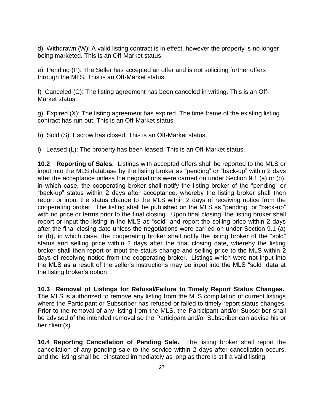d) Withdrawn (W): A valid listing contract is in effect, however the property is no longer being marketed. This is an Off-Market status.

e) Pending (P): The Seller has accepted an offer and is not soliciting further offers through the MLS. This is an Off-Market status.

f) Canceled (C): The listing agreement has been canceled in writing. This is an Off-Market status.

g) Expired (X): The listing agreement has expired. The time frame of the existing listing contract has run out. This is an Off-Market status.

h) Sold (S): Escrow has closed. This is an Off-Market status.

i) Leased (L): The property has been leased. This is an Off-Market status.

**10.2 Reporting of Sales.** Listings with accepted offers shall be reported to the MLS or input into the MLS database by the listing broker as "pending" or "back-up" within 2 days after the acceptance unless the negotiations were carried on under Section 9.1 (a) or (b), in which case, the cooperating broker shall notify the listing broker of the "pending" or "back-up" status within 2 days after acceptance, whereby the listing broker shall then report or input the status change to the MLS within 2 days of receiving notice from the cooperating broker. The listing shall be published on the MLS as "pending" or "back-up" with no price or terms prior to the final closing. Upon final closing, the listing broker shall report or input the listing in the MLS as "sold" and report the selling price within 2 days after the final closing date unless the negotiations were carried on under Section 9.1 (a) or (b), in which case, the cooperating broker shall notify the listing broker of the "sold" status and selling price within 2 days after the final closing date, whereby the listing broker shall then report or input the status change and selling price to the MLS within 2 days of receiving notice from the cooperating broker. Listings which were not input into the MLS as a result of the seller's instructions may be input into the MLS "sold" data at the listing broker's option.

**10.3 Removal of Listings for Refusal/Failure to Timely Report Status Changes.** The MLS is authorized to remove any listing from the MLS compilation of current listings where the Participant or Subscriber has refused or failed to timely report status changes. Prior to the removal of any listing from the MLS, the Participant and/or Subscriber shall be advised of the intended removal so the Participant and/or Subscriber can advise his or her client(s).

**10.4 Reporting Cancellation of Pending Sale.** The listing broker shall report the cancellation of any pending sale to the service within 2 days after cancellation occurs, and the listing shall be reinstated immediately as long as there is still a valid listing.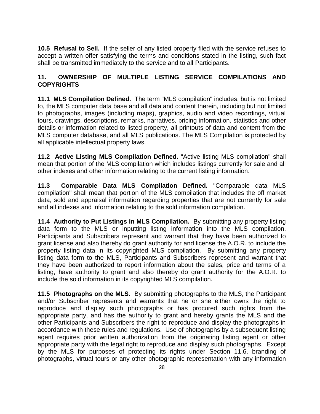**10.5 Refusal to Sell.** If the seller of any listed property filed with the service refuses to accept a written offer satisfying the terms and conditions stated in the listing, such fact shall be transmitted immediately to the service and to all Participants.

## **11. OWNERSHIP OF MULTIPLE LISTING SERVICE COMPILATIONS AND COPYRIGHTS**

**11.1 MLS Compilation Defined.** The term "MLS compilation" includes, but is not limited to, the MLS computer data base and all data and content therein, including but not limited to photographs, images (including maps), graphics, audio and video recordings, virtual tours, drawings, descriptions, remarks, narratives, pricing information, statistics and other details or information related to listed property, all printouts of data and content from the MLS computer database, and all MLS publications. The MLS Compilation is protected by all applicable intellectual property laws.

**11.2 Active Listing MLS Compilation Defined.** "Active listing MLS compilation" shall mean that portion of the MLS compilation which includes listings currently for sale and all other indexes and other information relating to the current listing information.

**11.3 Comparable Data MLS Compilation Defined.** "Comparable data MLS compilation" shall mean that portion of the MLS compilation that includes the off market data, sold and appraisal information regarding properties that are not currently for sale and all indexes and information relating to the sold information compilation.

**11.4 Authority to Put Listings in MLS Compilation.** By submitting any property listing data form to the MLS or inputting listing information into the MLS compilation, Participants and Subscribers represent and warrant that they have been authorized to grant license and also thereby do grant authority for and license the A.O.R. to include the property listing data in its copyrighted MLS compilation. By submitting any property listing data form to the MLS, Participants and Subscribers represent and warrant that they have been authorized to report information about the sales, price and terms of a listing, have authority to grant and also thereby do grant authority for the A.O.R. to include the sold information in its copyrighted MLS compilation.

**11.5 Photographs on the MLS.** By submitting photographs to the MLS, the Participant and/or Subscriber represents and warrants that he or she either owns the right to reproduce and display such photographs or has procured such rights from the appropriate party, and has the authority to grant and hereby grants the MLS and the other Participants and Subscribers the right to reproduce and display the photographs in accordance with these rules and regulations. Use of photographs by a subsequent listing agent requires prior written authorization from the originating listing agent or other appropriate party with the legal right to reproduce and display such photographs. Except by the MLS for purposes of protecting its rights under Section 11.6, branding of photographs, virtual tours or any other photographic representation with any information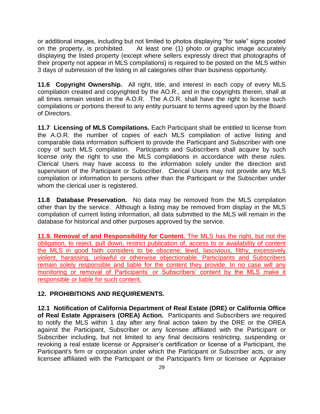or additional images, including but not limited to photos displaying "for sale" signs posted on the property, is prohibited. At least one (1) photo or graphic image accurately displaying the listed property (except where sellers expressly direct that photographs of their property not appear in MLS compilations) is required to be posted on the MLS within 3 days of submission of the listing in all categories other than business opportunity.

**11.6 Copyright Ownership.** All right, title, and interest in each copy of every MLS compilation created and copyrighted by the AO.R., and in the copyrights therein, shall at all times remain vested in the A.O.R. The A.O.R. shall have the right to license such compilations or portions thereof to any entity pursuant to terms agreed upon by the Board of Directors.

**11.7 Licensing of MLS Compilations.** Each Participant shall be entitled to license from the A.O.R. the number of copies of each MLS compilation of active listing and comparable data information sufficient to provide the Participant and Subscriber with one copy of such MLS compilation. Participants and Subscribers shall acquire by such license only the right to use the MLS compilations in accordance with these rules. Clerical Users may have access to the information solely under the direction and supervision of the Participant or Subscriber. Clerical Users may not provide any MLS compilation or information to persons other than the Participant or the Subscriber under whom the clerical user is registered.

**11.8 Database Preservation.** No data may be removed from the MLS compilation other than by the service. Although a listing may be removed from display in the MLS compilation of current listing information, all data submitted to the MLS will remain in the database for historical and other purposes approved by the service.

**11.9. Removal of and Responsibility for Content.** The MLS has the right, but not the obligation, to reject, pull down, restrict publication of, access to or availability of content the MLS in good faith considers to be obscene, lewd, lascivious, filthy, excessively violent, harassing, unlawful or otherwise objectionable. Participants and Subscribers remain solely responsible and liable for the content they provide. In no case will any monitoring or removal of Participants' or Subscribers' content by the MLS make it responsible or liable for such content.

#### **12. PROHIBITIONS AND REQUIREMENTS.**

**12.1 Notification of California Department of Real Estate (DRE) or California Office of Real Estate Appraisers (OREA) Action.** Participants and Subscribers are required to notify the MLS within 1 day after any final action taken by the DRE or the OREA against the Participant, Subscriber or any licensee affiliated with the Participant or Subscriber including, but not limited to any final decisions restricting, suspending or revoking a real estate license or Appraiser's certification or license of a Participant, the Participant's firm or corporation under which the Participant or Subscriber acts, or any licensee affiliated with the Participant or the Participant's firm or licensee or Appraiser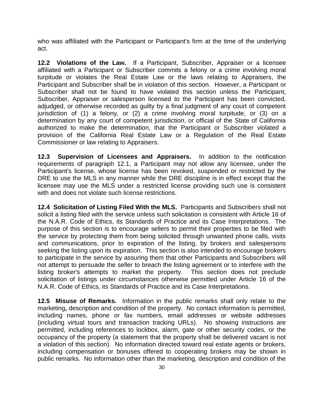who was affiliated with the Participant or Participant's firm at the time of the underlying act.

**12.2 Violations of the Law.** If a Participant, Subscriber, Appraiser or a licensee affiliated with a Participant or Subscriber commits a felony or a crime involving moral turpitude or violates the Real Estate Law or the laws relating to Appraisers, the Participant and Subscriber shall be in violation of this section. However, a Participant or Subscriber shall not be found to have violated this section unless the Participant, Subscriber, Appraiser or salesperson licensed to the Participant has been convicted, adjudged, or otherwise recorded as guilty by a final judgment of any court of competent jurisdiction of (1) a felony, or (2) a crime involving moral turpitude, or (3) on a determination by any court of competent jurisdiction, or official of the State of California authorized to make the determination, that the Participant or Subscriber violated a provision of the California Real Estate Law or a Regulation of the Real Estate Commissioner or law relating to Appraisers.

**12.3 Supervision of Licensees and Appraisers.** In addition to the notification requirements of paragraph 12.1, a Participant may not allow any licensee, under the Participant's license, whose license has been revoked, suspended or restricted by the DRE to use the MLS in any manner while the DRE discipline is in effect except that the licensee may use the MLS under a restricted license providing such use is consistent with and does not violate such license restrictions.

**12.4 Solicitation of Listing Filed With the MLS.** Participants and Subscribers shall not solicit a listing filed with the service unless such solicitation is consistent with Article 16 of the N.A.R. Code of Ethics, its Standards of Practice and its Case Interpretations. The purpose of this section is to encourage sellers to permit their properties to be filed with the service by protecting them from being solicited through unwanted phone calls, visits and communications, prior to expiration of the listing, by brokers and salespersons seeking the listing upon its expiration. This section is also intended to encourage brokers to participate in the service by assuring them that other Participants and Subscribers will not attempt to persuade the seller to breach the listing agreement or to interfere with the listing broker's attempts to market the property. This section does not preclude solicitation of listings under circumstances otherwise permitted under Article 16 of the N.A.R. Code of Ethics, its Standards of Practice and its Case Interpretations.

**12.5 Misuse of Remarks.** Information in the public remarks shall only relate to the marketing**,** description and condition of the property. No contact information is permitted, including names, phone or fax numbers, email addresses or website addresses (including virtual tours and transaction tracking URLs). No showing instructions are permitted, including references to lockbox, alarm, gate or other security codes, or the occupancy of the property (a statement that the property shall be delivered vacant is not a violation of this section). No information directed toward real estate agents or brokers, including compensation or bonuses offered to cooperating brokers may be shown in public remarks. No information other than the marketing, description and condition of the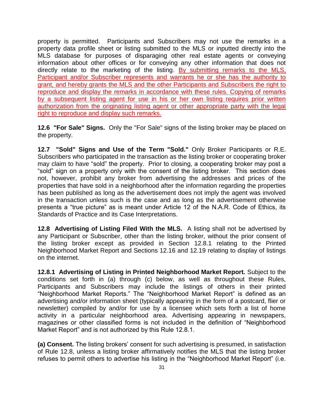property is permitted. Participants and Subscribers may not use the remarks in a property data profile sheet or listing submitted to the MLS or inputted directly into the MLS database for purposes of disparaging other real estate agents or conveying information about other offices or for conveying any other information that does not directly relate to the marketing of the listing. By submitting remarks to the MLS, Participant and/or Subscriber represents and warrants he or she has the authority to grant, and hereby grants the MLS and the other Participants and Subscribers the right to reproduce and display the remarks in accordance with these rules. Copying of remarks by a subsequent listing agent for use in his or her own listing requires prior written authorization from the originating listing agent or other appropriate party with the legal right to reproduce and display such remarks.

**12.6 "For Sale" Signs.** Only the "For Sale" signs of the listing broker may be placed on the property.

**12.7 "Sold" Signs and Use of the Term "Sold."** Only Broker Participants or R.E. Subscribers who participated in the transaction as the listing broker or cooperating broker may claim to have "sold" the property. Prior to closing, a cooperating broker may post a "sold" sign on a property only with the consent of the listing broker. This section does not, however, prohibit any broker from advertising the addresses and prices of the properties that have sold in a neighborhood after the information regarding the properties has been published as long as the advertisement does not imply the agent was involved in the transaction unless such is the case and as long as the advertisement otherwise presents a "true picture" as is meant under Article 12 of the N.A.R. Code of Ethics, its Standards of Practice and its Case Interpretations.

**12.8 Advertising of Listing Filed With the MLS.** A listing shall not be advertised by any Participant or Subscriber, other than the listing broker, without the prior consent of the listing broker except as provided in Section 12.8.1 relating to the Printed Neighborhood Market Report and Sections 12.16 and 12.19 relating to display of listings on the internet.

**12.8.1 Advertising of Listing in Printed Neighborhood Market Report.** Subject to the conditions set forth in (a) through (c) below, as well as throughout these Rules, Participants and Subscribers may include the listings of others in their printed "Neighborhood Market Reports." The "Neighborhood Market Report" is defined as an advertising and/or information sheet (typically appearing in the form of a postcard, flier or newsletter) compiled by and/or for use by a licensee which sets forth a list of home activity in a particular neighborhood area. Advertising appearing in newspapers, magazines or other classified forms is not included in the definition of "Neighborhood Market Report" and is not authorized by this Rule 12.8.1.

**(a) Consent.** The listing brokers' consent for such advertising is presumed, in satisfaction of Rule 12.8, unless a listing broker affirmatively notifies the MLS that the listing broker refuses to permit others to advertise his listing in the "Neighborhood Market Report" (i.e.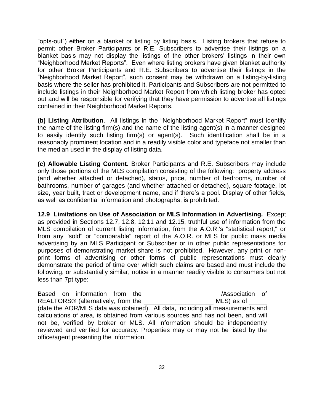"opts-out") either on a blanket or listing by listing basis. Listing brokers that refuse to permit other Broker Participants or R.E. Subscribers to advertise their listings on a blanket basis may not display the listings of the other brokers' listings in their own "Neighborhood Market Reports". Even where listing brokers have given blanket authority for other Broker Participants and R.E. Subscribers to advertise their listings in the "Neighborhood Market Report", such consent may be withdrawn on a listing-by-listing basis where the seller has prohibited it. Participants and Subscribers are not permitted to include listings in their Neighborhood Market Report from which listing broker has opted out and will be responsible for verifying that they have permission to advertise all listings contained in their Neighborhood Market Reports.

**(b) Listing Attribution**. All listings in the "Neighborhood Market Report" must identify the name of the listing firm(s) and the name of the listing agent(s) in a manner designed to easily identify such listing firm(s) or agent(s). Such identification shall be in a reasonably prominent location and in a readily visible color and typeface not smaller than the median used in the display of listing data.

**(c) Allowable Listing Content.** Broker Participants and R.E. Subscribers may include only those portions of the MLS compilation consisting of the following: property address (and whether attached or detached), status, price, number of bedrooms, number of bathrooms, number of garages (and whether attached or detached), square footage, lot size, year built, tract or development name, and if there's a pool. Display of other fields, as well as confidential information and photographs, is prohibited.

**12.9 Limitations on Use of Association or MLS Information in Advertising.** Except as provided in Sections 12.7, 12.8, 12.11 and 12.15, truthful use of information from the MLS compilation of current listing information, from the A.O.R.'s "statistical report," or from any "sold" or "comparable" report of the A.O.R. or MLS for public mass media advertising by an MLS Participant or Subscriber or in other public representations for purposes of demonstrating market share is not prohibited. However, any print or nonprint forms of advertising or other forms of public representations must clearly demonstrate the period of time over which such claims are based and must include the following, or substantially similar, notice in a manner readily visible to consumers but not less than 7pt type:

Based on information from the **Example 20** /Association of REALTORS® (alternatively, from the \_\_\_\_\_\_\_\_\_\_\_\_\_\_\_\_\_\_\_\_ MLS) as of \_\_\_\_\_ (date the AOR/MLS data was obtained). All data, including all measurements and calculations of area, is obtained from various sources and has not been, and will not be, verified by broker or MLS. All information should be independently reviewed and verified for accuracy. Properties may or may not be listed by the office/agent presenting the information.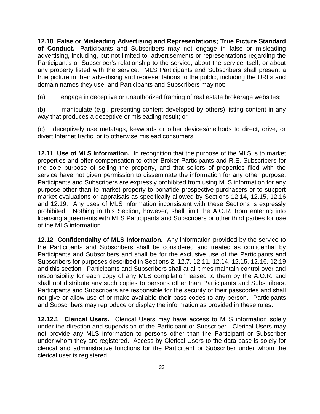**12.10 False or Misleading Advertising and Representations; True Picture Standard of Conduct.** Participants and Subscribers may not engage in false or misleading advertising, including, but not limited to, advertisements or representations regarding the Participant's or Subscriber's relationship to the service, about the service itself, or about any property listed with the service. MLS Participants and Subscribers shall present a true picture in their advertising and representations to the public, including the URLs and domain names they use, and Participants and Subscribers may not:

(a) engage in deceptive or unauthorized framing of real estate brokerage websites;

(b) manipulate (e.g., presenting content developed by others) listing content in any way that produces a deceptive or misleading result; or

(c) deceptively use metatags, keywords or other devices/methods to direct, drive, or divert Internet traffic, or to otherwise mislead consumers.

**12.11 Use of MLS Information.** In recognition that the purpose of the MLS is to market properties and offer compensation to other Broker Participants and R.E. Subscribers for the sole purpose of selling the property, and that sellers of properties filed with the service have not given permission to disseminate the information for any other purpose, Participants and Subscribers are expressly prohibited from using MLS information for any purpose other than to market property to bonafide prospective purchasers or to support market evaluations or appraisals as specifically allowed by Sections 12.14, 12.15, 12.16 and 12.19. Any uses of MLS information inconsistent with these Sections is expressly prohibited. Nothing in this Section, however, shall limit the A.O.R. from entering into licensing agreements with MLS Participants and Subscribers or other third parties for use of the MLS information.

**12.12 Confidentiality of MLS Information.** Any information provided by the service to the Participants and Subscribers shall be considered and treated as confidential by Participants and Subscribers and shall be for the exclusive use of the Participants and Subscribers for purposes described in Sections 2, 12.7, 12.11, 12.14, 12.15, 12.16, 12.19 and this section. Participants and Subscribers shall at all times maintain control over and responsibility for each copy of any MLS compilation leased to them by the A.O.R. and shall not distribute any such copies to persons other than Participants and Subscribers. Participants and Subscribers are responsible for the security of their passcodes and shall not give or allow use of or make available their pass codes to any person. Participants and Subscribers may reproduce or display the information as provided in these rules.

**12.12.1 Clerical Users.** Clerical Users may have access to MLS information solely under the direction and supervision of the Participant or Subscriber. Clerical Users may not provide any MLS information to persons other than the Participant or Subscriber under whom they are registered. Access by Clerical Users to the data base is solely for clerical and administrative functions for the Participant or Subscriber under whom the clerical user is registered.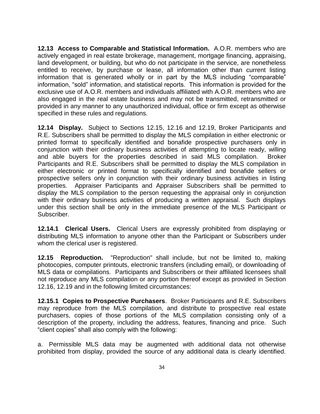**12.13 Access to Comparable and Statistical Information.** A.O.R. members who are actively engaged in real estate brokerage, management, mortgage financing, appraising, land development, or building, but who do not participate in the service, are nonetheless entitled to receive, by purchase or lease, all information other than current listing information that is generated wholly or in part by the MLS including "comparable" information, "sold" information, and statistical reports. This information is provided for the exclusive use of A.O.R. members and individuals affiliated with A.O.R. members who are also engaged in the real estate business and may not be transmitted, retransmitted or provided in any manner to any unauthorized individual, office or firm except as otherwise specified in these rules and regulations.

**12.14 Display.** Subject to Sections 12.15, 12.16 and 12.19, Broker Participants and R.E. Subscribers shall be permitted to display the MLS compilation in either electronic or printed format to specifically identified and bonafide prospective purchasers only in conjunction with their ordinary business activities of attempting to locate ready, willing and able buyers for the properties described in said MLS compilation. Broker Participants and R.E. Subscribers shall be permitted to display the MLS compilation in either electronic or printed format to specifically identified and bonafide sellers or prospective sellers only in conjunction with their ordinary business activities in listing properties. Appraiser Participants and Appraiser Subscribers shall be permitted to display the MLS compilation to the person requesting the appraisal only in conjunction with their ordinary business activities of producing a written appraisal. Such displays under this section shall be only in the immediate presence of the MLS Participant or Subscriber.

**12.14.1 Clerical Users.** Clerical Users are expressly prohibited from displaying or distributing MLS information to anyone other than the Participant or Subscribers under whom the clerical user is registered.

**12.15 Reproduction.** "Reproduction" shall include, but not be limited to, making photocopies, computer printouts, electronic transfers (including email), or downloading of MLS data or compilations. Participants and Subscribers or their affiliated licensees shall not reproduce any MLS compilation or any portion thereof except as provided in Section 12.16, 12.19 and in the following limited circumstances:

**12.15.1 Copies to Prospective Purchasers**. Broker Participants and R.E. Subscribers may reproduce from the MLS compilation, and distribute to prospective real estate purchasers, copies of those portions of the MLS compilation consisting only of a description of the property, including the address, features, financing and price. Such "client copies" shall also comply with the following:

a. Permissible MLS data may be augmented with additional data not otherwise prohibited from display, provided the source of any additional data is clearly identified.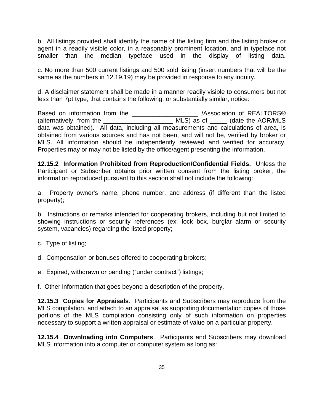b. All listings provided shall identify the name of the listing firm and the listing broker or agent in a readily visible color, in a reasonably prominent location, and in typeface not smaller than the median typeface used in the display of listing data.

c. No more than 500 current listings and 500 sold listing (insert numbers that will be the same as the numbers in 12.19.19) may be provided in response to any inquiry.

d. A disclaimer statement shall be made in a manner readily visible to consumers but not less than 7pt type, that contains the following, or substantially similar, notice:

Based on information from the \_\_\_\_\_\_\_\_\_\_\_\_\_\_\_\_\_\_\_ /Association of REALTORS® (alternatively, from the  $\frac{1}{\sqrt{1-\frac{1}{2}}}\sqrt{1-\frac{1}{2}}$  MLS) as of  $\frac{1}{\sqrt{1-\frac{1}{2}}}\sqrt{1-\frac{1}{2}}$  (date the AOR/MLS data was obtained). All data, including all measurements and calculations of area, is obtained from various sources and has not been, and will not be, verified by broker or MLS. All information should be independently reviewed and verified for accuracy. Properties may or may not be listed by the office/agent presenting the information.

**12.15.2 Information Prohibited from Reproduction/Confidential Fields.** Unless the Participant or Subscriber obtains prior written consent from the listing broker, the information reproduced pursuant to this section shall not include the following:

a. Property owner's name, phone number, and address (if different than the listed property);

b. Instructions or remarks intended for cooperating brokers, including but not limited to showing instructions or security references (ex: lock box, burglar alarm or security system, vacancies) regarding the listed property;

- c. Type of listing;
- d. Compensation or bonuses offered to cooperating brokers;
- e. Expired, withdrawn or pending ("under contract") listings;

f. Other information that goes beyond a description of the property.

**12.15.3 Copies for Appraisals**. Participants and Subscribers may reproduce from the MLS compilation, and attach to an appraisal as supporting documentation copies of those portions of the MLS compilation consisting only of such information on properties necessary to support a written appraisal or estimate of value on a particular property.

**12.15.4 Downloading into Computers**. Participants and Subscribers may download MLS information into a computer or computer system as long as: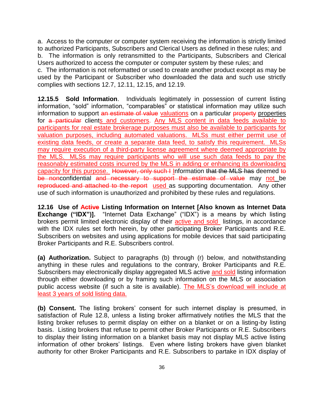a. Access to the computer or computer system receiving the information is strictly limited to authorized Participants, Subscribers and Clerical Users as defined in these rules; and b. The information is only retransmitted to the Participants, Subscribers and Clerical Users authorized to access the computer or computer system by these rules; and c. The information is not reformatted or used to create another product except as may be used by the Participant or Subscriber who downloaded the data and such use strictly complies with sections 12.7, 12.11, 12.15, and 12.19.

**12.15.5 Sold Information**. Individuals legitimately in possession of current listing information, "sold" information, "comparables" or statistical information may utilize such information to support an estimate of value valuations on a particular property properties for a particular clients and customers. Any MLS content in data feeds available to participants for real estate brokerage purposes must also be available to participants for valuation purposes, including automated valuations. MLSs must either permit use of existing data feeds, or create a separate data feed, to satisfy this requirement. MLSs may require execution of a third-party license agreement where deemed appropriate by the MLS. MLSs may require participants who will use such data feeds to pay the reasonably estimated costs incurred by the MLS in adding or enhancing its downloading capacity for this purpose. However, only such I Information that the MLS has deemed to be nonconfidential and necessary to support the estimate of value may not be reproduced and attached to the report used as supporting documentation. Any other use of such information is unauthorized and prohibited by these rules and regulations.

**12.16 Use of Active Listing Information on Internet [Also known as Internet Data Exchange ("IDX")].** "Internet Data Exchange" ("IDX") is a means by which listing brokers permit limited electronic display of their active and sold listings, in accordance with the IDX rules set forth herein, by other participating Broker Participants and R.E. Subscribers on websites and using applications for mobile devices that said participating Broker Participants and R.E. Subscribers control.

**(a) Authorization.** Subject to paragraphs (b) through (r) below, and notwithstanding anything in these rules and regulations to the contrary, Broker Participants and R.E. Subscribers may electronically display aggregated MLS active and sold listing information through either downloading or by framing such information on the MLS or association public access website (if such a site is available). The MLS's download will include at least 3 years of sold listing data.

**(b) Consent.** The listing brokers' consent for such internet display is presumed, in satisfaction of Rule 12.8, unless a listing broker affirmatively notifies the MLS that the listing broker refuses to permit display on either on a blanket or on a listing-by listing basis. Listing brokers that refuse to permit other Broker Participants or R.E. Subscribers to display their listing information on a blanket basis may not display MLS active listing information of other brokers' listings. Even where listing brokers have given blanket authority for other Broker Participants and R.E. Subscribers to partake in IDX display of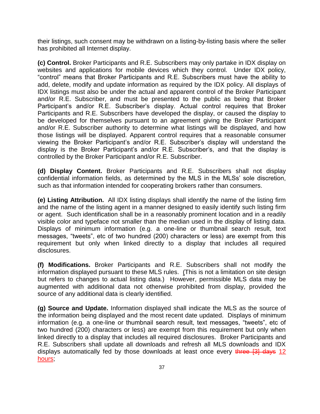their listings, such consent may be withdrawn on a listing-by-listing basis where the seller has prohibited all Internet display.

**(c) Control.** Broker Participants and R.E. Subscribers may only partake in IDX display on websites and applications for mobile devices which they control. Under IDX policy, "control" means that Broker Participants and R.E. Subscribers must have the ability to add, delete, modify and update information as required by the IDX policy. All displays of IDX listings must also be under the actual and apparent control of the Broker Participant and/or R.E. Subscriber, and must be presented to the public as being that Broker Participant's and/or R.E. Subscriber's display. Actual control requires that Broker Participants and R.E. Subscribers have developed the display, or caused the display to be developed for themselves pursuant to an agreement giving the Broker Participant and/or R.E. Subscriber authority to determine what listings will be displayed, and how those listings will be displayed. Apparent control requires that a reasonable consumer viewing the Broker Participant's and/or R.E. Subscriber's display will understand the display is the Broker Participant's and/or R.E. Subscriber's, and that the display is controlled by the Broker Participant and/or R.E. Subscriber.

**(d) Display Content.** Broker Participants and R.E. Subscribers shall not display confidential information fields, as determined by the MLS in the MLSs' sole discretion, such as that information intended for cooperating brokers rather than consumers.

**(e) Listing Attribution.** All IDX listing displays shall identify the name of the listing firm and the name of the listing agent in a manner designed to easily identify such listing firm or agent. Such identification shall be in a reasonably prominent location and in a readily visible color and typeface not smaller than the median used in the display of listing data. Displays of minimum information (e.g. a one-line or thumbnail search result, text messages, "tweets", etc of two hundred (200) characters or less) are exempt from this requirement but only when linked directly to a display that includes all required disclosures.

**(f) Modifications.** Broker Participants and R.E. Subscribers shall not modify the information displayed pursuant to these MLS rules. (This is not a limitation on site design but refers to changes to actual listing data.) However, permissible MLS data may be augmented with additional data not otherwise prohibited from display, provided the source of any additional data is clearly identified.

**(g) Source and Update.** Information displayed shall indicate the MLS as the source of the information being displayed and the most recent date updated. Displays of minimum information (e.g. a one-line or thumbnail search result, text messages, "tweets", etc of two hundred (200) characters or less) are exempt from this requirement but only when linked directly to a display that includes all required disclosures. Broker Participants and R.E. Subscribers shall update all downloads and refresh all MLS downloads and IDX displays automatically fed by those downloads at least once every three [3] days 12 hours;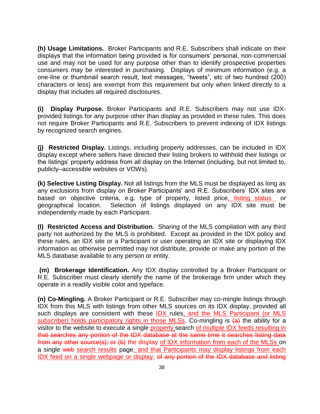**(h) Usage Limitations.** Broker Participants and R.E. Subscribers shall indicate on their displays that the information being provided is for consumers' personal, non-commercial use and may not be used for any purpose other than to identify prospective properties consumers may be interested in purchasing. Displays of minimum information (e.g. a one-line or thumbnail search result, text messages, "tweets", etc of two hundred (200) characters or less) are exempt from this requirement but only when linked directly to a display that includes all required disclosures.

**(i) Display Purpose.** Broker Participants and R.E. Subscribers may not use IDXprovided listings for any purpose other than display as provided in these rules. This does not require Broker Participants and R.E. Subscribers to prevent indexing of IDX listings by recognized search engines.

**(j) Restricted Display.** Listings, including property addresses, can be included in IDX display except where sellers have directed their listing brokers to withhold their listings or the listings' property address from all display on the Internet (including, but not limited to, publicly–accessible websites or VOWs).

**(k) Selective Listing Display.** Not all listings from the MLS must be displayed as long as any exclusions from display on Broker Participants' and R.E. Subscribers' IDX sites are based on objective criteria, e.g. type of property, listed price, listing status or geographical location. Selection of listings displayed on any IDX site must be independently made by each Participant.

**(l) Restricted Access and Distribution.** Sharing of the MLS compilation with any third party not authorized by the MLS is prohibited. Except as provided in the IDX policy and these rules, an IDX site or a Participant or user operating an IDX site or displaying IDX information as otherwise permitted may not distribute, provide or make any portion of the MLS database available to any person or entity.

**(m) Brokerage Identification.** Any IDX display controlled by a Broker Participant or R.E. Subscriber must clearly identify the name of the brokerage firm under which they operate in a readily visible color and typeface.

**(n) Co-Mingling.** A Broker Participant or R.E. Subscriber may co-mingle listings through IDX from this MLS with listings from other MLS sources on its IDX display, provided all such displays are consistent with these IDX rules, and the MLS Participant (or MLS subscriber) holds participatory rights in those MLSs. Co-mingling is  $(a)$  the ability for a visitor to the website to execute a single property search of multiple IDX feeds resulting in that searches any portion of the IDX database at the same time it searches listing data from any other source(s); or (b) the display of IDX information from each of the MLSs on a single web search results page; and that Participants may display listings from each IDX feed on a single webpage or display. of any portion of the IDX database and listing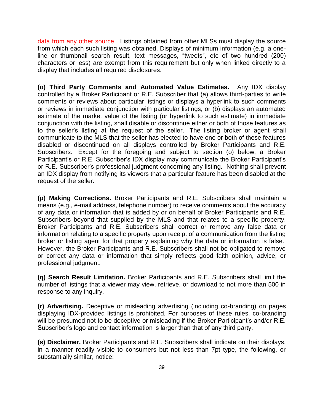data from any other source. Listings obtained from other MLSs must display the source from which each such listing was obtained. Displays of minimum information (e.g. a oneline or thumbnail search result, text messages, "tweets", etc of two hundred (200) characters or less) are exempt from this requirement but only when linked directly to a display that includes all required disclosures.

**(o) Third Party Comments and Automated Value Estimates.** Any IDX display controlled by a Broker Participant or R.E. Subscriber that (a) allows third-parties to write comments or reviews about particular listings or displays a hyperlink to such comments or reviews in immediate conjunction with particular listings, or (b) displays an automated estimate of the market value of the listing (or hyperlink to such estimate) in immediate conjunction with the listing, shall disable or discontinue either or both of those features as to the seller's listing at the request of the seller. The listing broker or agent shall communicate to the MLS that the seller has elected to have one or both of these features disabled or discontinued on all displays controlled by Broker Participants and R.E. Subscribers. Except for the foregoing and subject to section (o) below, a Broker Participant's or R.E. Subscriber's IDX display may communicate the Broker Participant's or R.E. Subscriber's professional judgment concerning any listing. Nothing shall prevent an IDX display from notifying its viewers that a particular feature has been disabled at the request of the seller.

**(p) Making Corrections.** Broker Participants and R.E. Subscribers shall maintain a means (e.g., e-mail address, telephone number) to receive comments about the accuracy of any data or information that is added by or on behalf of Broker Participants and R.E. Subscribers beyond that supplied by the MLS and that relates to a specific property. Broker Participants and R.E. Subscribers shall correct or remove any false data or information relating to a specific property upon receipt of a communication from the listing broker or listing agent for that property explaining why the data or information is false. However, the Broker Participants and R.E. Subscribers shall not be obligated to remove or correct any data or information that simply reflects good faith opinion, advice, or professional judgment.

**(q) Search Result Limitation.** Broker Participants and R.E. Subscribers shall limit the number of listings that a viewer may view, retrieve, or download to not more than 500 in response to any inquiry.

**(r) Advertising.** Deceptive or misleading advertising (including co-branding) on pages displaying IDX-provided listings is prohibited. For purposes of these rules, co-branding will be presumed not to be deceptive or misleading if the Broker Participant's and/or R.E. Subscriber's logo and contact information is larger than that of any third party.

**(s) Disclaimer.** Broker Participants and R.E. Subscribers shall indicate on their displays, in a manner readily visible to consumers but not less than 7pt type, the following, or substantially similar, notice: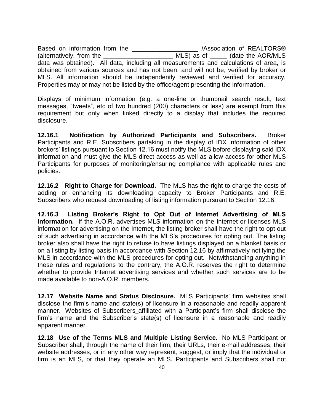Based on information from the \_\_\_\_\_\_\_\_\_\_\_\_\_\_\_\_\_\_\_\_\_ /Association of REALTORS® (alternatively, from the \_\_\_\_\_\_\_\_\_\_\_\_\_\_\_\_\_\_\_\_ MLS) as of \_\_\_\_\_ (date the AOR/MLS data was obtained). All data, including all measurements and calculations of area, is obtained from various sources and has not been, and will not be, verified by broker or MLS. All information should be independently reviewed and verified for accuracy. Properties may or may not be listed by the office/agent presenting the information.

Displays of minimum information (e.g. a one-line or thumbnail search result, text messages, "tweets", etc of two hundred (200) characters or less) are exempt from this requirement but only when linked directly to a display that includes the required disclosure.

**12.16.1 Notification by Authorized Participants and Subscribers.** Broker Participants and R.E. Subscribers partaking in the display of IDX information of other brokers' listings pursuant to Section 12.16 must notify the MLS before displaying said IDX information and must give the MLS direct access as well as allow access for other MLS Participants for purposes of monitoring/ensuring compliance with applicable rules and policies.

**12.16.2 Right to Charge for Download.** The MLS has the right to charge the costs of adding or enhancing its downloading capacity to Broker Participants and R.E. Subscribers who request downloading of listing information pursuant to Section 12.16.

**12.16.3 Listing Broker's Right to Opt Out of Internet Advertising of MLS Information.** If the A.O.R. advertises MLS information on the Internet or licenses MLS information for advertising on the Internet, the listing broker shall have the right to opt out of such advertising in accordance with the MLS's procedures for opting out. The listing broker also shall have the right to refuse to have listings displayed on a blanket basis or on a listing by listing basis in accordance with Section 12.16 by affirmatively notifying the MLS in accordance with the MLS procedures for opting out. Notwithstanding anything in these rules and regulations to the contrary, the A.O.R. reserves the right to determine whether to provide Internet advertising services and whether such services are to be made available to non-A.O.R. members.

**12.17 Website Name and Status Disclosure.** MLS Participants' firm websites shall disclose the firm's name and state(s) of licensure in a reasonable and readily apparent manner. Websites of Subscribers affiliated with a Participant's firm shall disclose the firm's name and the Subscriber's state(s) of licensure in a reasonable and readily apparent manner.

**12.18 Use of the Terms MLS and Multiple Listing Service.** No MLS Participant or Subscriber shall, through the name of their firm, their URLs, their e-mail addresses, their website addresses, or in any other way represent, suggest, or imply that the individual or firm is an MLS, or that they operate an MLS. Participants and Subscribers shall not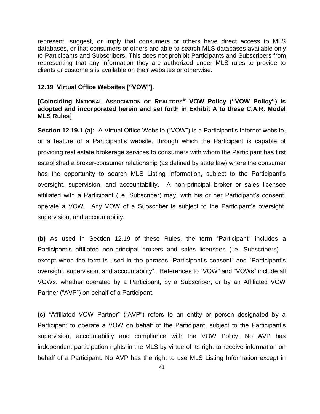represent, suggest, or imply that consumers or others have direct access to MLS databases, or that consumers or others are able to search MLS databases available only to Participants and Subscribers. This does not prohibit Participants and Subscribers from representing that any information they are authorized under MLS rules to provide to clients or customers is available on their websites or otherwise.

#### **12.19 Virtual Office Websites ["VOW"].**

## **[Coinciding NATIONAL ASSOCIATION OF REALTORS® VOW Policy ("VOW Policy") is adopted and incorporated herein and set forth in Exhibit A to these C.A.R. Model MLS Rules]**

**Section 12.19.1 (a):** A Virtual Office Website ("VOW") is a Participant's Internet website, or a feature of a Participant's website, through which the Participant is capable of providing real estate brokerage services to consumers with whom the Participant has first established a broker-consumer relationship (as defined by state law) where the consumer has the opportunity to search MLS Listing Information, subject to the Participant's oversight, supervision, and accountability. A non-principal broker or sales licensee affiliated with a Participant (i.e. Subscriber) may, with his or her Participant's consent, operate a VOW. Any VOW of a Subscriber is subject to the Participant's oversight, supervision, and accountability.

**(b)** As used in Section 12.19 of these Rules, the term "Participant" includes a Participant's affiliated non-principal brokers and sales licensees (i.e. Subscribers) – except when the term is used in the phrases "Participant's consent" and "Participant's oversight, supervision, and accountability". References to "VOW" and "VOWs" include all VOWs, whether operated by a Participant, by a Subscriber, or by an Affiliated VOW Partner ("AVP") on behalf of a Participant.

**(c)** "Affiliated VOW Partner" ("AVP") refers to an entity or person designated by a Participant to operate a VOW on behalf of the Participant, subject to the Participant's supervision, accountability and compliance with the VOW Policy. No AVP has independent participation rights in the MLS by virtue of its right to receive information on behalf of a Participant. No AVP has the right to use MLS Listing Information except in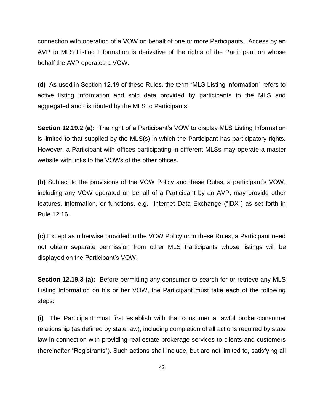connection with operation of a VOW on behalf of one or more Participants. Access by an AVP to MLS Listing Information is derivative of the rights of the Participant on whose behalf the AVP operates a VOW.

**(d)** As used in Section 12.19 of these Rules, the term "MLS Listing Information" refers to active listing information and sold data provided by participants to the MLS and aggregated and distributed by the MLS to Participants.

**Section 12.19.2 (a):** The right of a Participant's VOW to display MLS Listing Information is limited to that supplied by the MLS(s) in which the Participant has participatory rights. However, a Participant with offices participating in different MLSs may operate a master website with links to the VOWs of the other offices.

**(b)** Subject to the provisions of the VOW Policy and these Rules, a participant's VOW, including any VOW operated on behalf of a Participant by an AVP, may provide other features, information, or functions, e.g. Internet Data Exchange ("IDX") as set forth in Rule 12.16.

**(c)** Except as otherwise provided in the VOW Policy or in these Rules, a Participant need not obtain separate permission from other MLS Participants whose listings will be displayed on the Participant's VOW.

**Section 12.19.3 (a):** Before permitting any consumer to search for or retrieve any MLS Listing Information on his or her VOW, the Participant must take each of the following steps:

**(i)** The Participant must first establish with that consumer a lawful broker-consumer relationship (as defined by state law), including completion of all actions required by state law in connection with providing real estate brokerage services to clients and customers (hereinafter "Registrants"). Such actions shall include, but are not limited to, satisfying all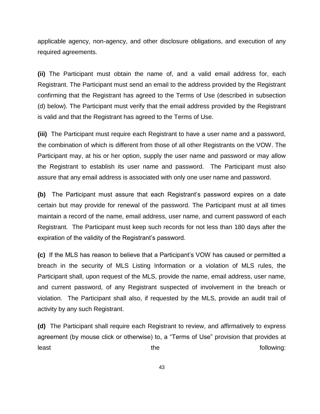applicable agency, non-agency, and other disclosure obligations, and execution of any required agreements.

**(ii)** The Participant must obtain the name of, and a valid email address for, each Registrant. The Participant must send an email to the address provided by the Registrant confirming that the Registrant has agreed to the Terms of Use (described in subsection (d) below). The Participant must verify that the email address provided by the Registrant is valid and that the Registrant has agreed to the Terms of Use.

**(iii)** The Participant must require each Registrant to have a user name and a password, the combination of which is different from those of all other Registrants on the VOW. The Participant may, at his or her option, supply the user name and password or may allow the Registrant to establish its user name and password. The Participant must also assure that any email address is associated with only one user name and password.

**(b)** The Participant must assure that each Registrant's password expires on a date certain but may provide for renewal of the password. The Participant must at all times maintain a record of the name, email address, user name, and current password of each Registrant. The Participant must keep such records for not less than 180 days after the expiration of the validity of the Registrant's password.

**(c)** If the MLS has reason to believe that a Participant's VOW has caused or permitted a breach in the security of MLS Listing Information or a violation of MLS rules, the Participant shall, upon request of the MLS, provide the name, email address, user name, and current password, of any Registrant suspected of involvement in the breach or violation. The Participant shall also, if requested by the MLS, provide an audit trail of activity by any such Registrant.

**(d)** The Participant shall require each Registrant to review, and affirmatively to express agreement (by mouse click or otherwise) to, a "Terms of Use" provision that provides at least the following: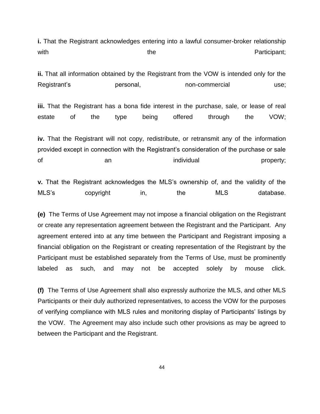**i.** That the Registrant acknowledges entering into a lawful consumer-broker relationship with  $\blacksquare$  with  $\blacksquare$ 

**ii.** That all information obtained by the Registrant from the VOW is intended only for the Registrant's **personal**, non-commercial use;

**iii.** That the Registrant has a bona fide interest in the purchase, sale, or lease of real estate of the type being offered through the VOW;

**iv.** That the Registrant will not copy, redistribute, or retransmit any of the information provided except in connection with the Registrant's consideration of the purchase or sale of an individual property;

**v.** That the Registrant acknowledges the MLS's ownership of, and the validity of the MLS's copyright in, the MLS database.

**(e)** The Terms of Use Agreement may not impose a financial obligation on the Registrant or create any representation agreement between the Registrant and the Participant. Any agreement entered into at any time between the Participant and Registrant imposing a financial obligation on the Registrant or creating representation of the Registrant by the Participant must be established separately from the Terms of Use, must be prominently labeled as such, and may not be accepted solely by mouse click.

**(f)** The Terms of Use Agreement shall also expressly authorize the MLS, and other MLS Participants or their duly authorized representatives, to access the VOW for the purposes of verifying compliance with MLS rules and monitoring display of Participants' listings by the VOW. The Agreement may also include such other provisions as may be agreed to between the Participant and the Registrant.

44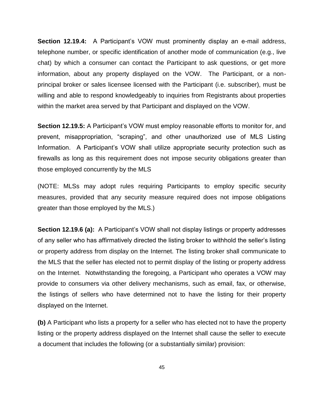**Section 12.19.4:** A Participant's VOW must prominently display an e-mail address, telephone number, or specific identification of another mode of communication (e.g., live chat) by which a consumer can contact the Participant to ask questions, or get more information, about any property displayed on the VOW. The Participant, or a nonprincipal broker or sales licensee licensed with the Participant (i.e. subscriber), must be willing and able to respond knowledgeably to inquiries from Registrants about properties within the market area served by that Participant and displayed on the VOW.

**Section 12.19.5:** A Participant's VOW must employ reasonable efforts to monitor for, and prevent, misappropriation, "scraping", and other unauthorized use of MLS Listing Information. A Participant's VOW shall utilize appropriate security protection such as firewalls as long as this requirement does not impose security obligations greater than those employed concurrently by the MLS

(NOTE: MLSs may adopt rules requiring Participants to employ specific security measures, provided that any security measure required does not impose obligations greater than those employed by the MLS.)

**Section 12.19.6 (a):** A Participant's VOW shall not display listings or property addresses of any seller who has affirmatively directed the listing broker to withhold the seller's listing or property address from display on the Internet. The listing broker shall communicate to the MLS that the seller has elected not to permit display of the listing or property address on the Internet. Notwithstanding the foregoing, a Participant who operates a VOW may provide to consumers via other delivery mechanisms, such as email, fax, or otherwise, the listings of sellers who have determined not to have the listing for their property displayed on the Internet.

**(b)** A Participant who lists a property for a seller who has elected not to have the property listing or the property address displayed on the Internet shall cause the seller to execute a document that includes the following (or a substantially similar) provision: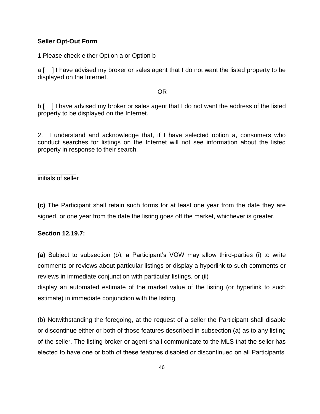#### **Seller Opt-Out Form**

1.Please check either Option a or Option b

a.[ ] I have advised my broker or sales agent that I do not want the listed property to be displayed on the Internet.

#### **OR** Service Service Service Service Service Service Service Service Service Service Service Service Service Service Service Service Service Service Service Service Service Service Service Service Service Service Service S

b.[ ] I have advised my broker or sales agent that I do not want the address of the listed property to be displayed on the Internet.

2. I understand and acknowledge that, if I have selected option a, consumers who conduct searches for listings on the Internet will not see information about the listed property in response to their search.

\_\_\_\_\_\_\_\_\_\_\_ initials of seller

**(c)** The Participant shall retain such forms for at least one year from the date they are signed, or one year from the date the listing goes off the market, whichever is greater.

#### **Section 12.19.7:**

**(a)** Subject to subsection (b), a Participant's VOW may allow third-parties (i) to write comments or reviews about particular listings or display a hyperlink to such comments or reviews in immediate conjunction with particular listings, or (ii)

display an automated estimate of the market value of the listing (or hyperlink to such estimate) in immediate conjunction with the listing.

(b) Notwithstanding the foregoing, at the request of a seller the Participant shall disable or discontinue either or both of those features described in subsection (a) as to any listing of the seller. The listing broker or agent shall communicate to the MLS that the seller has elected to have one or both of these features disabled or discontinued on all Participants'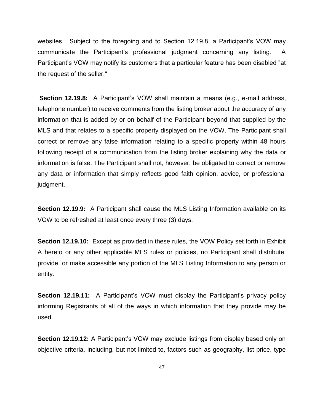websites. Subject to the foregoing and to Section 12.19.8, a Participant's VOW may communicate the Participant's professional judgment concerning any listing. A Participant's VOW may notify its customers that a particular feature has been disabled "at the request of the seller."

**Section 12.19.8:** A Participant's VOW shall maintain a means (e.g., e-mail address, telephone number) to receive comments from the listing broker about the accuracy of any information that is added by or on behalf of the Participant beyond that supplied by the MLS and that relates to a specific property displayed on the VOW. The Participant shall correct or remove any false information relating to a specific property within 48 hours following receipt of a communication from the listing broker explaining why the data or information is false. The Participant shall not, however, be obligated to correct or remove any data or information that simply reflects good faith opinion, advice, or professional judgment.

**Section 12.19.9:** A Participant shall cause the MLS Listing Information available on its VOW to be refreshed at least once every three (3) days.

**Section 12.19.10:** Except as provided in these rules, the VOW Policy set forth in Exhibit A hereto or any other applicable MLS rules or policies, no Participant shall distribute, provide, or make accessible any portion of the MLS Listing Information to any person or entity.

**Section 12.19.11:** A Participant's VOW must display the Participant's privacy policy informing Registrants of all of the ways in which information that they provide may be used.

**Section 12.19.12:** A Participant's VOW may exclude listings from display based only on objective criteria, including, but not limited to, factors such as geography, list price, type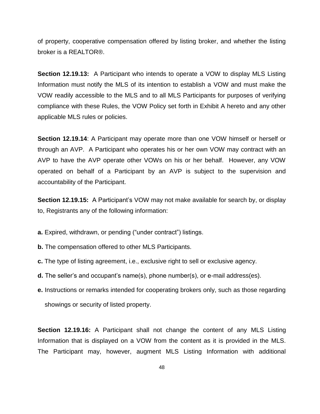of property, cooperative compensation offered by listing broker, and whether the listing broker is a REALTOR®.

**Section 12.19.13:** A Participant who intends to operate a VOW to display MLS Listing Information must notify the MLS of its intention to establish a VOW and must make the VOW readily accessible to the MLS and to all MLS Participants for purposes of verifying compliance with these Rules, the VOW Policy set forth in Exhibit A hereto and any other applicable MLS rules or policies.

**Section 12.19.14**: A Participant may operate more than one VOW himself or herself or through an AVP. A Participant who operates his or her own VOW may contract with an AVP to have the AVP operate other VOWs on his or her behalf. However, any VOW operated on behalf of a Participant by an AVP is subject to the supervision and accountability of the Participant.

**Section 12.19.15:** A Participant's VOW may not make available for search by, or display to, Registrants any of the following information:

**a.** Expired, withdrawn, or pending ("under contract") listings.

- **b.** The compensation offered to other MLS Participants.
- **c.** The type of listing agreement, i.e., exclusive right to sell or exclusive agency.
- **d.** The seller's and occupant's name(s), phone number(s), or e-mail address(es).
- **e.** Instructions or remarks intended for cooperating brokers only, such as those regarding showings or security of listed property.

**Section 12.19.16:** A Participant shall not change the content of any MLS Listing Information that is displayed on a VOW from the content as it is provided in the MLS. The Participant may, however, augment MLS Listing Information with additional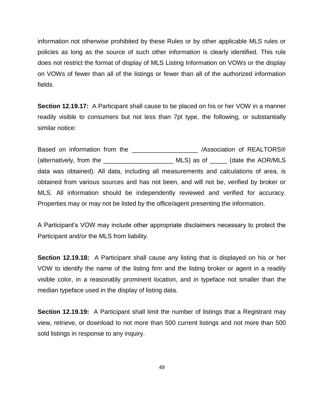information not otherwise prohibited by these Rules or by other applicable MLS rules or policies as long as the source of such other information is clearly identified. This rule does not restrict the format of display of MLS Listing Information on VOWs or the display on VOWs of fewer than all of the listings or fewer than all of the authorized information fields.

**Section 12.19.17:** A Participant shall cause to be placed on his or her VOW in a manner readily visible to consumers but not less than 7pt type, the following, or substantially similar notice:

Based on information from the  $\sim$  /Association of REALTORS® (alternatively, from the \_\_\_\_\_\_\_\_\_\_\_\_\_\_\_\_\_\_\_\_ MLS) as of \_\_\_\_\_ (date the AOR/MLS data was obtained). All data, including all measurements and calculations of area, is obtained from various sources and has not been, and will not be, verified by broker or MLS. All information should be independently reviewed and verified for accuracy. Properties may or may not be listed by the office/agent presenting the information.

A Participant's VOW may include other appropriate disclaimers necessary to protect the Participant and/or the MLS from liability.

**Section 12.19.18:** A Participant shall cause any listing that is displayed on his or her VOW to identify the name of the listing firm and the listing broker or agent in a readily visible color, in a reasonably prominent location, and in typeface not smaller than the median typeface used in the display of listing data.

**Section 12.19.19:** A Participant shall limit the number of listings that a Registrant may view, retrieve, or download to not more than 500 current listings and not more than 500 sold listings in response to any inquiry.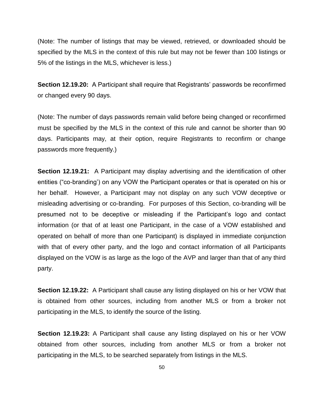(Note: The number of listings that may be viewed, retrieved, or downloaded should be specified by the MLS in the context of this rule but may not be fewer than 100 listings or 5% of the listings in the MLS, whichever is less.)

**Section 12.19.20:** A Participant shall require that Registrants' passwords be reconfirmed or changed every 90 days.

(Note: The number of days passwords remain valid before being changed or reconfirmed must be specified by the MLS in the context of this rule and cannot be shorter than 90 days. Participants may, at their option, require Registrants to reconfirm or change passwords more frequently.)

**Section 12.19.21:** A Participant may display advertising and the identification of other entities ("co-branding') on any VOW the Participant operates or that is operated on his or her behalf. However, a Participant may not display on any such VOW deceptive or misleading advertising or co-branding. For purposes of this Section, co-branding will be presumed not to be deceptive or misleading if the Participant's logo and contact information (or that of at least one Participant, in the case of a VOW established and operated on behalf of more than one Participant) is displayed in immediate conjunction with that of every other party, and the logo and contact information of all Participants displayed on the VOW is as large as the logo of the AVP and larger than that of any third party.

**Section 12.19.22:** A Participant shall cause any listing displayed on his or her VOW that is obtained from other sources, including from another MLS or from a broker not participating in the MLS, to identify the source of the listing.

**Section 12.19.23:** A Participant shall cause any listing displayed on his or her VOW obtained from other sources, including from another MLS or from a broker not participating in the MLS, to be searched separately from listings in the MLS.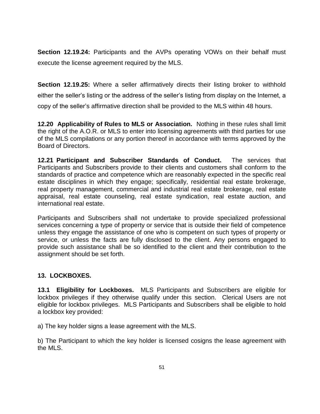**Section 12.19.24:** Participants and the AVPs operating VOWs on their behalf must execute the license agreement required by the MLS.

**Section 12.19.25:** Where a seller affirmatively directs their listing broker to withhold either the seller's listing or the address of the seller's listing from display on the Internet, a copy of the seller's affirmative direction shall be provided to the MLS within 48 hours.

**12.20 Applicability of Rules to MLS or Association.** Nothing in these rules shall limit the right of the A.O.R. or MLS to enter into licensing agreements with third parties for use of the MLS compilations or any portion thereof in accordance with terms approved by the Board of Directors.

**12.21 Participant and Subscriber Standards of Conduct.** The services that Participants and Subscribers provide to their clients and customers shall conform to the standards of practice and competence which are reasonably expected in the specific real estate disciplines in which they engage; specifically, residential real estate brokerage, real property management, commercial and industrial real estate brokerage, real estate appraisal, real estate counseling, real estate syndication, real estate auction, and international real estate.

Participants and Subscribers shall not undertake to provide specialized professional services concerning a type of property or service that is outside their field of competence unless they engage the assistance of one who is competent on such types of property or service, or unless the facts are fully disclosed to the client. Any persons engaged to provide such assistance shall be so identified to the client and their contribution to the assignment should be set forth.

# **13. LOCKBOXES.**

**13.1 Eligibility for Lockboxes.** MLS Participants and Subscribers are eligible for lockbox privileges if they otherwise qualify under this section. Clerical Users are not eligible for lockbox privileges. MLS Participants and Subscribers shall be eligible to hold a lockbox key provided:

a) The key holder signs a lease agreement with the MLS.

b) The Participant to which the key holder is licensed cosigns the lease agreement with the MLS.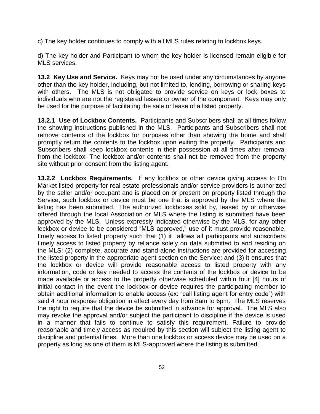c) The key holder continues to comply with all MLS rules relating to lockbox keys.

d) The key holder and Participant to whom the key holder is licensed remain eligible for MLS services.

**13.2 Key Use and Service.** Keys may not be used under any circumstances by anyone other than the key holder, including, but not limited to, lending, borrowing or sharing keys with others. The MLS is not obligated to provide service on keys or lock boxes to individuals who are not the registered lessee or owner of the component. Keys may only be used for the purpose of facilitating the sale or lease of a listed property.

**13.2.1 Use of Lockbox Contents.** Participants and Subscribers shall at all times follow the showing instructions published in the MLS. Participants and Subscribers shall not remove contents of the lockbox for purposes other than showing the home and shall promptly return the contents to the lockbox upon exiting the property. Participants and Subscribers shall keep lockbox contents in their possession at all times after removal from the lockbox. The lockbox and/or contents shall not be removed from the property site without prior consent from the listing agent.

**13.2.2 Lockbox Requirements.** If any lockbox or other device giving access to On Market listed property for real estate professionals and/or service providers is authorized by the seller and/or occupant and is placed on or present on property listed through the Service, such lockbox or device must be one that is approved by the MLS where the listing has been submitted. The authorized lockboxes sold by, leased by or otherwise offered through the local Association or MLS where the listing is submitted have been approved by the MLS. Unless expressly indicated otherwise by the MLS, for any other lockbox or device to be considered "MLS-approved," use of it must provide reasonable, timely access to listed property such that (1) it allows all participants and subscribers timely access to listed property by reliance solely on data submitted to and residing on the MLS; (2) complete, accurate and stand-alone instructions are provided for accessing the listed property in the appropriate agent section on the Service; and (3) it ensures that the lockbox or device will provide reasonable access to listed property with any information, code or key needed to access the contents of the lockbox or device to be made available or access to the property otherwise scheduled within four [4] hours of initial contact in the event the lockbox or device requires the participating member to obtain additional information to enable access (ex: "call listing agent for entry code") with said 4 hour response obligation in effect every day from 8am to 6pm. The MLS reserves the right to require that the device be submitted in advance for approval. The MLS also may revoke the approval and/or subject the participant to discipline if the device is used in a manner that fails to continue to satisfy this requirement. Failure to provide reasonable and timely access as required by this section will subject the listing agent to discipline and potential fines. More than one lockbox or access device may be used on a property as long as one of them is MLS-approved where the listing is submitted.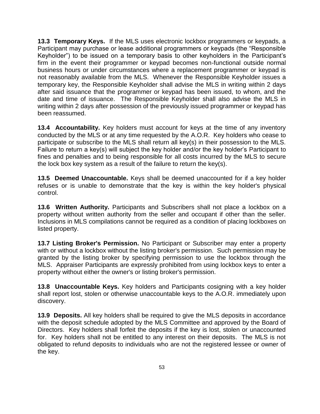**13.3 Temporary Keys.** If the MLS uses electronic lockbox programmers or keypads, a Participant may purchase or lease additional programmers or keypads (the "Responsible Keyholder") to be issued on a temporary basis to other keyholders in the Participant's firm in the event their programmer or keypad becomes non-functional outside normal business hours or under circumstances where a replacement programmer or keypad is not reasonably available from the MLS. Whenever the Responsible Keyholder issues a temporary key, the Responsible Keyholder shall advise the MLS in writing within 2 days after said issuance that the programmer or keypad has been issued, to whom, and the date and time of issuance. The Responsible Keyholder shall also advise the MLS in writing within 2 days after possession of the previously issued programmer or keypad has been reassumed.

**13.4 Accountability.** Key holders must account for keys at the time of any inventory conducted by the MLS or at any time requested by the A.O.R. Key holders who cease to participate or subscribe to the MLS shall return all key(s) in their possession to the MLS. Failure to return a key(s) will subject the key holder and/or the key holder's Participant to fines and penalties and to being responsible for all costs incurred by the MLS to secure the lock box key system as a result of the failure to return the key(s).

**13.5 Deemed Unaccountable.** Keys shall be deemed unaccounted for if a key holder refuses or is unable to demonstrate that the key is within the key holder's physical control.

**13.6 Written Authority.** Participants and Subscribers shall not place a lockbox on a property without written authority from the seller and occupant if other than the seller. Inclusions in MLS compilations cannot be required as a condition of placing lockboxes on listed property.

**13.7 Listing Broker's Permission.** No Participant or Subscriber may enter a property with or without a lockbox without the listing broker's permission. Such permission may be granted by the listing broker by specifying permission to use the lockbox through the MLS. Appraiser Participants are expressly prohibited from using lockbox keys to enter a property without either the owner's or listing broker's permission.

**13.8 Unaccountable Keys.** Key holders and Participants cosigning with a key holder shall report lost, stolen or otherwise unaccountable keys to the A.O.R. immediately upon discovery.

**13.9 Deposits.** All key holders shall be required to give the MLS deposits in accordance with the deposit schedule adopted by the MLS Committee and approved by the Board of Directors. Key holders shall forfeit the deposits if the key is lost, stolen or unaccounted for. Key holders shall not be entitled to any interest on their deposits. The MLS is not obligated to refund deposits to individuals who are not the registered lessee or owner of the key.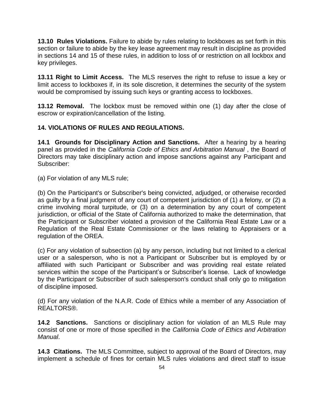**13.10 Rules Violations.** Failure to abide by rules relating to lockboxes as set forth in this section or failure to abide by the key lease agreement may result in discipline as provided in sections 14 and 15 of these rules, in addition to loss of or restriction on all lockbox and key privileges.

**13.11 Right to Limit Access.** The MLS reserves the right to refuse to issue a key or limit access to lockboxes if, in its sole discretion, it determines the security of the system would be compromised by issuing such keys or granting access to lockboxes.

**13.12 Removal.** The lockbox must be removed within one (1) day after the close of escrow or expiration/cancellation of the listing.

## **14. VIOLATIONS OF RULES AND REGULATIONS.**

**14.1 Grounds for Disciplinary Action and Sanctions.** After a hearing by a hearing panel as provided in the *California Code of Ethics and Arbitration Manual* , the Board of Directors may take disciplinary action and impose sanctions against any Participant and Subscriber:

(a) For violation of any MLS rule;

(b) On the Participant's or Subscriber's being convicted, adjudged, or otherwise recorded as guilty by a final judgment of any court of competent jurisdiction of (1) a felony, or (2) a crime involving moral turpitude, or (3) on a determination by any court of competent jurisdiction, or official of the State of California authorized to make the determination, that the Participant or Subscriber violated a provision of the California Real Estate Law or a Regulation of the Real Estate Commissioner or the laws relating to Appraisers or a regulation of the OREA.

(c) For any violation of subsection (a) by any person, including but not limited to a clerical user or a salesperson, who is not a Participant or Subscriber but is employed by or affiliated with such Participant or Subscriber and was providing real estate related services within the scope of the Participant's or Subscriber's license. Lack of knowledge by the Participant or Subscriber of such salesperson's conduct shall only go to mitigation of discipline imposed.

(d) For any violation of the N.A.R. Code of Ethics while a member of any Association of REALTORS®.

**14.2 Sanctions.** Sanctions or disciplinary action for violation of an MLS Rule may consist of one or more of those specified in the *California Code of Ethics and Arbitration Manual*.

**14.3 Citations.** The MLS Committee, subject to approval of the Board of Directors, may implement a schedule of fines for certain MLS rules violations and direct staff to issue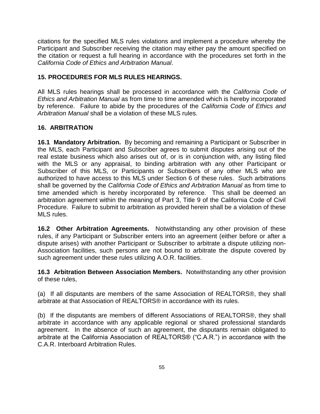citations for the specified MLS rules violations and implement a procedure whereby the Participant and Subscriber receiving the citation may either pay the amount specified on the citation or request a full hearing in accordance with the procedures set forth in the *California Code of Ethics and Arbitration Manual*.

## **15. PROCEDURES FOR MLS RULES HEARINGS.**

All MLS rules hearings shall be processed in accordance with the *California Code of Ethics and Arbitration Manual* as from time to time amended which is hereby incorporated by reference. Failure to abide by the procedures of the *California Code of Ethics and Arbitration Manual* shall be a violation of these MLS rules.

## **16. ARBITRATION**

**16.1 Mandatory Arbitration.** By becoming and remaining a Participant or Subscriber in the MLS, each Participant and Subscriber agrees to submit disputes arising out of the real estate business which also arises out of, or is in conjunction with, any listing filed with the MLS or any appraisal, to binding arbitration with any other Participant or Subscriber of this MLS, or Participants or Subscribers of any other MLS who are authorized to have access to this MLS under Section 6 of these rules. Such arbitrations shall be governed by the *California Code of Ethics and Arbitration Manual* as from time to time amended which is hereby incorporated by reference. This shall be deemed an arbitration agreement within the meaning of Part 3, Title 9 of the California Code of Civil Procedure. Failure to submit to arbitration as provided herein shall be a violation of these MLS rules.

**16.2 Other Arbitration Agreements.** Notwithstanding any other provision of these rules, if any Participant or Subscriber enters into an agreement (either before or after a dispute arises) with another Participant or Subscriber to arbitrate a dispute utilizing non-Association facilities, such persons are not bound to arbitrate the dispute covered by such agreement under these rules utilizing A.O.R. facilities.

**16.3 Arbitration Between Association Members.** Notwithstanding any other provision of these rules,

(a) If all disputants are members of the same Association of REALTORS®, they shall arbitrate at that Association of REALTORS® in accordance with its rules.

(b) If the disputants are members of different Associations of REALTORS®, they shall arbitrate in accordance with any applicable regional or shared professional standards agreement. In the absence of such an agreement, the disputants remain obligated to arbitrate at the California Association of REALTORS® ("C.A.R.") in accordance with the C.A.R. Interboard Arbitration Rules.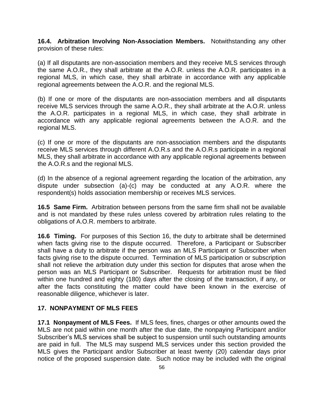**16.4. Arbitration Involving Non-Association Members.** Notwithstanding any other provision of these rules:

(a) If all disputants are non-association members and they receive MLS services through the same A.O.R., they shall arbitrate at the A.O.R. unless the A.O.R. participates in a regional MLS, in which case, they shall arbitrate in accordance with any applicable regional agreements between the A.O.R. and the regional MLS.

(b) If one or more of the disputants are non-association members and all disputants receive MLS services through the same A.O.R., they shall arbitrate at the A.O.R. unless the A.O.R. participates in a regional MLS, in which case, they shall arbitrate in accordance with any applicable regional agreements between the A.O.R. and the regional MLS.

(c) If one or more of the disputants are non-association members and the disputants receive MLS services through different A.O.R.s and the A.O.R.s participate in a regional MLS, they shall arbitrate in accordance with any applicable regional agreements between the A.O.R.s and the regional MLS.

(d) In the absence of a regional agreement regarding the location of the arbitration, any dispute under subsection (a)-(c) may be conducted at any A.O.R. where the respondent(s) holds association membership or receives MLS services.

**16.5 Same Firm.** Arbitration between persons from the same firm shall not be available and is not mandated by these rules unless covered by arbitration rules relating to the obligations of A.O.R. members to arbitrate.

**16.6 Timing.** For purposes of this Section 16, the duty to arbitrate shall be determined when facts giving rise to the dispute occurred. Therefore, a Participant or Subscriber shall have a duty to arbitrate if the person was an MLS Participant or Subscriber when facts giving rise to the dispute occurred. Termination of MLS participation or subscription shall not relieve the arbitration duty under this section for disputes that arose when the person was an MLS Participant or Subscriber. Requests for arbitration must be filed within one hundred and eighty (180) days after the closing of the transaction, if any, or after the facts constituting the matter could have been known in the exercise of reasonable diligence, whichever is later.

#### **17. NONPAYMENT OF MLS FEES**

**17.1 Nonpayment of MLS Fees.** If MLS fees, fines, charges or other amounts owed the MLS are not paid within one month after the due date, the nonpaying Participant and/or Subscriber's MLS services shall be subject to suspension until such outstanding amounts are paid in full. The MLS may suspend MLS services under this section provided the MLS gives the Participant and/or Subscriber at least twenty (20) calendar days prior notice of the proposed suspension date. Such notice may be included with the original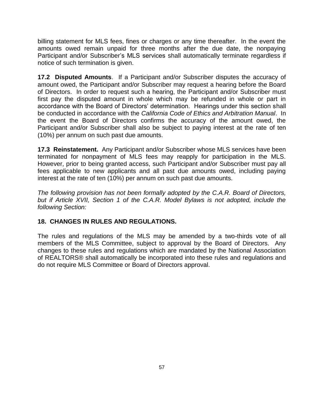billing statement for MLS fees, fines or charges or any time thereafter. In the event the amounts owed remain unpaid for three months after the due date, the nonpaying Participant and/or Subscriber's MLS services shall automatically terminate regardless if notice of such termination is given.

**17.2 Disputed Amounts**. If a Participant and/or Subscriber disputes the accuracy of amount owed, the Participant and/or Subscriber may request a hearing before the Board of Directors. In order to request such a hearing, the Participant and/or Subscriber must first pay the disputed amount in whole which may be refunded in whole or part in accordance with the Board of Directors' determination. Hearings under this section shall be conducted in accordance with the *California Code of Ethics and Arbitration Manual*. In the event the Board of Directors confirms the accuracy of the amount owed, the Participant and/or Subscriber shall also be subject to paying interest at the rate of ten (10%) per annum on such past due amounts.

**17.3 Reinstatement.** Any Participant and/or Subscriber whose MLS services have been terminated for nonpayment of MLS fees may reapply for participation in the MLS. However, prior to being granted access, such Participant and/or Subscriber must pay all fees applicable to new applicants and all past due amounts owed, including paying interest at the rate of ten (10%) per annum on such past due amounts.

*The following provision has not been formally adopted by the C.A.R. Board of Directors, but if Article XVII, Section 1 of the C.A.R. Model Bylaws is not adopted, include the following Section:*

#### **18. CHANGES IN RULES AND REGULATIONS.**

The rules and regulations of the MLS may be amended by a two-thirds vote of all members of the MLS Committee, subject to approval by the Board of Directors. Any changes to these rules and regulations which are mandated by the National Association of REALTORS® shall automatically be incorporated into these rules and regulations and do not require MLS Committee or Board of Directors approval.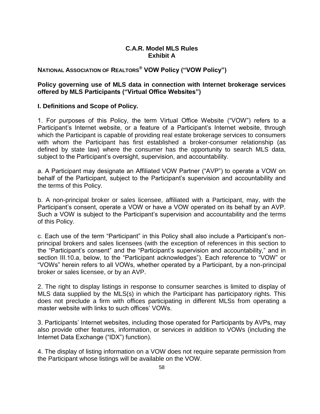#### **C.A.R. Model MLS Rules Exhibit A**

# **NATIONAL ASSOCIATION OF REALTORS® VOW Policy ("VOW Policy")**

#### **Policy governing use of MLS data in connection with Internet brokerage services offered by MLS Participants ("Virtual Office Websites")**

#### **I. Definitions and Scope of Policy.**

1. For purposes of this Policy, the term Virtual Office Website ("VOW") refers to a Participant's Internet website, or a feature of a Participant's Internet website, through which the Participant is capable of providing real estate brokerage services to consumers with whom the Participant has first established a broker-consumer relationship (as defined by state law) where the consumer has the opportunity to search MLS data, subject to the Participant's oversight, supervision, and accountability.

a. A Participant may designate an Affiliated VOW Partner ("AVP") to operate a VOW on behalf of the Participant, subject to the Participant's supervision and accountability and the terms of this Policy.

b. A non-principal broker or sales licensee, affiliated with a Participant, may, with the Participant's consent, operate a VOW or have a VOW operated on its behalf by an AVP. Such a VOW is subject to the Participant's supervision and accountability and the terms of this Policy.

c. Each use of the term "Participant" in this Policy shall also include a Participant's nonprincipal brokers and sales licensees (with the exception of references in this section to the "Participant's consent" and the "Participant's supervision and accountability," and in section III.10.a, below, to the "Participant acknowledges"). Each reference to "VOW" or "VOWs" herein refers to all VOWs, whether operated by a Participant, by a non-principal broker or sales licensee, or by an AVP.

2. The right to display listings in response to consumer searches is limited to display of MLS data supplied by the MLS(s) in which the Participant has participatory rights. This does not preclude a firm with offices participating in different MLSs from operating a master website with links to such offices' VOWs.

3. Participants' Internet websites, including those operated for Participants by AVPs, may also provide other features, information, or services in addition to VOWs (including the Internet Data Exchange ("IDX") function).

4. The display of listing information on a VOW does not require separate permission from the Participant whose listings will be available on the VOW.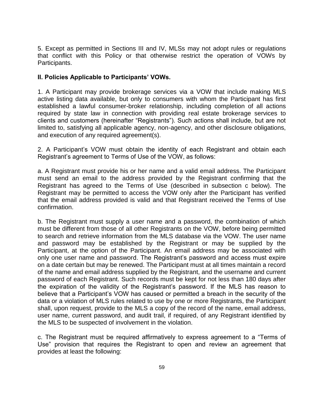5. Except as permitted in Sections III and IV, MLSs may not adopt rules or regulations that conflict with this Policy or that otherwise restrict the operation of VOWs by Participants.

#### **II. Policies Applicable to Participants' VOWs.**

1. A Participant may provide brokerage services via a VOW that include making MLS active listing data available, but only to consumers with whom the Participant has first established a lawful consumer-broker relationship, including completion of all actions required by state law in connection with providing real estate brokerage services to clients and customers (hereinafter "Registrants"). Such actions shall include, but are not limited to, satisfying all applicable agency, non-agency, and other disclosure obligations, and execution of any required agreement(s).

2. A Participant's VOW must obtain the identity of each Registrant and obtain each Registrant's agreement to Terms of Use of the VOW, as follows:

a. A Registrant must provide his or her name and a valid email address. The Participant must send an email to the address provided by the Registrant confirming that the Registrant has agreed to the Terms of Use (described in subsection c below). The Registrant may be permitted to access the VOW only after the Participant has verified that the email address provided is valid and that Registrant received the Terms of Use confirmation.

b. The Registrant must supply a user name and a password, the combination of which must be different from those of all other Registrants on the VOW, before being permitted to search and retrieve information from the MLS database via the VOW. The user name and password may be established by the Registrant or may be supplied by the Participant, at the option of the Participant. An email address may be associated with only one user name and password. The Registrant's password and access must expire on a date certain but may be renewed. The Participant must at all times maintain a record of the name and email address supplied by the Registrant, and the username and current password of each Registrant. Such records must be kept for not less than 180 days after the expiration of the validity of the Registrant's password. If the MLS has reason to believe that a Participant's VOW has caused or permitted a breach in the security of the data or a violation of MLS rules related to use by one or more Registrants, the Participant shall, upon request, provide to the MLS a copy of the record of the name, email address, user name, current password, and audit trail, if required, of any Registrant identified by the MLS to be suspected of involvement in the violation.

c. The Registrant must be required affirmatively to express agreement to a "Terms of Use" provision that requires the Registrant to open and review an agreement that provides at least the following: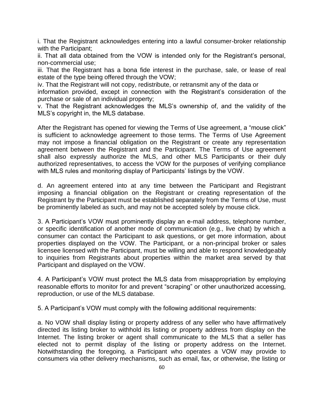i. That the Registrant acknowledges entering into a lawful consumer-broker relationship with the Participant;

ii. That all data obtained from the VOW is intended only for the Registrant's personal, non-commercial use;

iii. That the Registrant has a bona fide interest in the purchase, sale, or lease of real estate of the type being offered through the VOW;

iv. That the Registrant will not copy, redistribute, or retransmit any of the data or

information provided, except in connection with the Registrant's consideration of the purchase or sale of an individual property;

v. That the Registrant acknowledges the MLS's ownership of, and the validity of the MLS's copyright in, the MLS database.

After the Registrant has opened for viewing the Terms of Use agreement, a "mouse click" is sufficient to acknowledge agreement to those terms. The Terms of Use Agreement may not impose a financial obligation on the Registrant or create any representation agreement between the Registrant and the Participant. The Terms of Use agreement shall also expressly authorize the MLS, and other MLS Participants or their duly authorized representatives, to access the VOW for the purposes of verifying compliance with MLS rules and monitoring display of Participants' listings by the VOW.

d. An agreement entered into at any time between the Participant and Registrant imposing a financial obligation on the Registrant or creating representation of the Registrant by the Participant must be established separately from the Terms of Use, must be prominently labeled as such, and may not be accepted solely by mouse click.

3. A Participant's VOW must prominently display an e-mail address, telephone number, or specific identification of another mode of communication (e.g., live chat) by which a consumer can contact the Participant to ask questions, or get more information, about properties displayed on the VOW. The Participant, or a non-principal broker or sales licensee licensed with the Participant, must be willing and able to respond knowledgeably to inquiries from Registrants about properties within the market area served by that Participant and displayed on the VOW.

4. A Participant's VOW must protect the MLS data from misappropriation by employing reasonable efforts to monitor for and prevent "scraping" or other unauthorized accessing, reproduction, or use of the MLS database.

5. A Participant's VOW must comply with the following additional requirements:

a. No VOW shall display listing or property address of any seller who have affirmatively directed its listing broker to withhold its listing or property address from display on the Internet. The listing broker or agent shall communicate to the MLS that a seller has elected not to permit display of the listing or property address on the Internet. Notwithstanding the foregoing, a Participant who operates a VOW may provide to consumers via other delivery mechanisms, such as email, fax, or otherwise, the listing or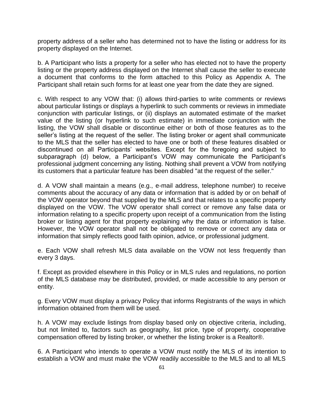property address of a seller who has determined not to have the listing or address for its property displayed on the Internet.

b. A Participant who lists a property for a seller who has elected not to have the property listing or the property address displayed on the Internet shall cause the seller to execute a document that conforms to the form attached to this Policy as Appendix A. The Participant shall retain such forms for at least one year from the date they are signed.

c. With respect to any VOW that: (i) allows third-parties to write comments or reviews about particular listings or displays a hyperlink to such comments or reviews in immediate conjunction with particular listings, or (ii) displays an automated estimate of the market value of the listing (or hyperlink to such estimate) in immediate conjunction with the listing, the VOW shall disable or discontinue either or both of those features as to the seller's listing at the request of the seller. The listing broker or agent shall communicate to the MLS that the seller has elected to have one or both of these features disabled or discontinued on all Participants' websites. Except for the foregoing and subject to subparagraph (d) below, a Participant's VOW may communicate the Participant's professional judgment concerning any listing. Nothing shall prevent a VOW from notifying its customers that a particular feature has been disabled "at the request of the seller."

d. A VOW shall maintain a means (e.g., e-mail address, telephone number) to receive comments about the accuracy of any data or information that is added by or on behalf of the VOW operator beyond that supplied by the MLS and that relates to a specific property displayed on the VOW. The VOW operator shall correct or remove any false data or information relating to a specific property upon receipt of a communication from the listing broker or listing agent for that property explaining why the data or information is false. However, the VOW operator shall not be obligated to remove or correct any data or information that simply reflects good faith opinion, advice, or professional judgment.

e. Each VOW shall refresh MLS data available on the VOW not less frequently than every 3 days.

f. Except as provided elsewhere in this Policy or in MLS rules and regulations, no portion of the MLS database may be distributed, provided, or made accessible to any person or entity.

g. Every VOW must display a privacy Policy that informs Registrants of the ways in which information obtained from them will be used.

h. A VOW may exclude listings from display based only on objective criteria, including, but not limited to, factors such as geography, list price, type of property, cooperative compensation offered by listing broker, or whether the listing broker is a Realtor®.

6. A Participant who intends to operate a VOW must notify the MLS of its intention to establish a VOW and must make the VOW readily accessible to the MLS and to all MLS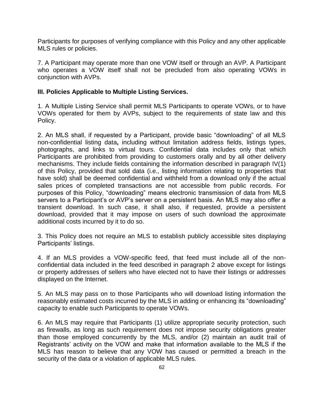Participants for purposes of verifying compliance with this Policy and any other applicable MLS rules or policies.

7. A Participant may operate more than one VOW itself or through an AVP. A Participant who operates a VOW itself shall not be precluded from also operating VOWs in conjunction with AVPs.

#### **III. Policies Applicable to Multiple Listing Services.**

1. A Multiple Listing Service shall permit MLS Participants to operate VOWs, or to have VOWs operated for them by AVPs, subject to the requirements of state law and this Policy.

2. An MLS shall, if requested by a Participant, provide basic "downloading" of all MLS non-confidential listing data**,** including without limitation address fields, listings types, photographs, and links to virtual tours. Confidential data includes only that which Participants are prohibited from providing to customers orally and by all other delivery mechanisms. They include fields containing the information described in paragraph IV(1) of this Policy, provided that sold data (i.e., listing information relating to properties that have sold) shall be deemed confidential and withheld from a download only if the actual sales prices of completed transactions are not accessible from public records. For purposes of this Policy, "downloading" means electronic transmission of data from MLS servers to a Participant's or AVP's server on a persistent basis. An MLS may also offer a transient download. In such case, it shall also, if requested, provide a persistent download, provided that it may impose on users of such download the approximate additional costs incurred by it to do so.

3. This Policy does not require an MLS to establish publicly accessible sites displaying Participants' listings.

4. If an MLS provides a VOW-specific feed, that feed must include all of the nonconfidential data included in the feed described in paragraph 2 above except for listings or property addresses of sellers who have elected not to have their listings or addresses displayed on the Internet.

5. An MLS may pass on to those Participants who will download listing information the reasonably estimated costs incurred by the MLS in adding or enhancing its "downloading" capacity to enable such Participants to operate VOWs.

6. An MLS may require that Participants (1) utilize appropriate security protection, such as firewalls, as long as such requirement does not impose security obligations greater than those employed concurrently by the MLS, and/or (2) maintain an audit trail of Registrants' activity on the VOW and make that information available to the MLS if the MLS has reason to believe that any VOW has caused or permitted a breach in the security of the data or a violation of applicable MLS rules.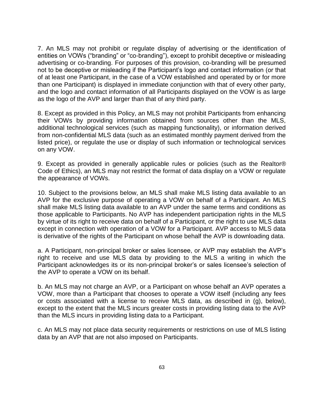7. An MLS may not prohibit or regulate display of advertising or the identification of entities on VOWs ("branding" or "co-branding"), except to prohibit deceptive or misleading advertising or co-branding. For purposes of this provision, co-branding will be presumed not to be deceptive or misleading if the Participant's logo and contact information (or that of at least one Participant, in the case of a VOW established and operated by or for more than one Participant) is displayed in immediate conjunction with that of every other party, and the logo and contact information of all Participants displayed on the VOW is as large as the logo of the AVP and larger than that of any third party.

8. Except as provided in this Policy, an MLS may not prohibit Participants from enhancing their VOWs by providing information obtained from sources other than the MLS, additional technological services (such as mapping functionality), or information derived from non-confidential MLS data (such as an estimated monthly payment derived from the listed price), or regulate the use or display of such information or technological services on any VOW.

9. Except as provided in generally applicable rules or policies (such as the Realtor® Code of Ethics), an MLS may not restrict the format of data display on a VOW or regulate the appearance of VOWs.

10. Subject to the provisions below, an MLS shall make MLS listing data available to an AVP for the exclusive purpose of operating a VOW on behalf of a Participant. An MLS shall make MLS listing data available to an AVP under the same terms and conditions as those applicable to Participants. No AVP has independent participation rights in the MLS by virtue of its right to receive data on behalf of a Participant, or the right to use MLS data except in connection with operation of a VOW for a Participant. AVP access to MLS data is derivative of the rights of the Participant on whose behalf the AVP is downloading data.

a. A Participant, non-principal broker or sales licensee, or AVP may establish the AVP's right to receive and use MLS data by providing to the MLS a writing in which the Participant acknowledges its or its non-principal broker's or sales licensee's selection of the AVP to operate a VOW on its behalf.

b. An MLS may not charge an AVP, or a Participant on whose behalf an AVP operates a VOW, more than a Participant that chooses to operate a VOW itself (including any fees or costs associated with a license to receive MLS data, as described in (g), below), except to the extent that the MLS incurs greater costs in providing listing data to the AVP than the MLS incurs in providing listing data to a Participant.

c. An MLS may not place data security requirements or restrictions on use of MLS listing data by an AVP that are not also imposed on Participants.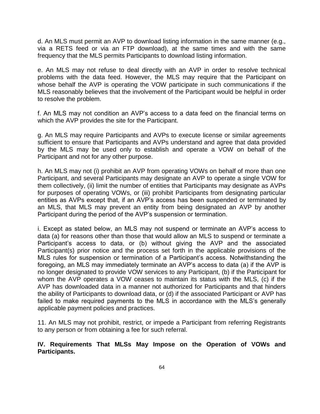d. An MLS must permit an AVP to download listing information in the same manner (e.g., via a RETS feed or via an FTP download), at the same times and with the same frequency that the MLS permits Participants to download listing information.

e. An MLS may not refuse to deal directly with an AVP in order to resolve technical problems with the data feed. However, the MLS may require that the Participant on whose behalf the AVP is operating the VOW participate in such communications if the MLS reasonably believes that the involvement of the Participant would be helpful in order to resolve the problem.

f. An MLS may not condition an AVP's access to a data feed on the financial terms on which the AVP provides the site for the Participant.

g. An MLS may require Participants and AVPs to execute license or similar agreements sufficient to ensure that Participants and AVPs understand and agree that data provided by the MLS may be used only to establish and operate a VOW on behalf of the Participant and not for any other purpose.

h. An MLS may not (i) prohibit an AVP from operating VOWs on behalf of more than one Participant, and several Participants may designate an AVP to operate a single VOW for them collectively, (ii) limit the number of entities that Participants may designate as AVPs for purposes of operating VOWs, or (iii) prohibit Participants from designating particular entities as AVPs except that, if an AVP's access has been suspended or terminated by an MLS, that MLS may prevent an entity from being designated an AVP by another Participant during the period of the AVP's suspension or termination.

i. Except as stated below, an MLS may not suspend or terminate an AVP's access to data (a) for reasons other than those that would allow an MLS to suspend or terminate a Participant's access to data, or (b) without giving the AVP and the associated Participant(s) prior notice and the process set forth in the applicable provisions of the MLS rules for suspension or termination of a Participant's access. Notwithstanding the foregoing, an MLS may immediately terminate an AVP's access to data (a) if the AVP is no longer designated to provide VOW services to any Participant, (b) if the Participant for whom the AVP operates a VOW ceases to maintain its status with the MLS, (c) if the AVP has downloaded data in a manner not authorized for Participants and that hinders the ability of Participants to download data, or (d) if the associated Participant or AVP has failed to make required payments to the MLS in accordance with the MLS's generally applicable payment policies and practices.

11. An MLS may not prohibit, restrict, or impede a Participant from referring Registrants to any person or from obtaining a fee for such referral.

**IV. Requirements That MLSs May Impose on the Operation of VOWs and Participants.**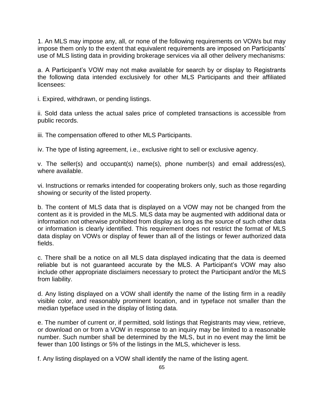1. An MLS may impose any, all, or none of the following requirements on VOWs but may impose them only to the extent that equivalent requirements are imposed on Participants' use of MLS listing data in providing brokerage services via all other delivery mechanisms:

a. A Participant's VOW may not make available for search by or display to Registrants the following data intended exclusively for other MLS Participants and their affiliated licensees:

i. Expired, withdrawn, or pending listings.

ii. Sold data unless the actual sales price of completed transactions is accessible from public records.

iii. The compensation offered to other MLS Participants.

iv. The type of listing agreement, i.e., exclusive right to sell or exclusive agency.

v. The seller(s) and occupant(s) name(s), phone number(s) and email address(es), where available.

vi. Instructions or remarks intended for cooperating brokers only, such as those regarding showing or security of the listed property.

b. The content of MLS data that is displayed on a VOW may not be changed from the content as it is provided in the MLS. MLS data may be augmented with additional data or information not otherwise prohibited from display as long as the source of such other data or information is clearly identified. This requirement does not restrict the format of MLS data display on VOWs or display of fewer than all of the listings or fewer authorized data fields.

c. There shall be a notice on all MLS data displayed indicating that the data is deemed reliable but is not guaranteed accurate by the MLS. A Participant's VOW may also include other appropriate disclaimers necessary to protect the Participant and/or the MLS from liability.

d. Any listing displayed on a VOW shall identify the name of the listing firm in a readily visible color, and reasonably prominent location, and in typeface not smaller than the median typeface used in the display of listing data.

e. The number of current or, if permitted, sold listings that Registrants may view, retrieve, or download on or from a VOW in response to an inquiry may be limited to a reasonable number. Such number shall be determined by the MLS, but in no event may the limit be fewer than 100 listings or 5% of the listings in the MLS, whichever is less.

f. Any listing displayed on a VOW shall identify the name of the listing agent.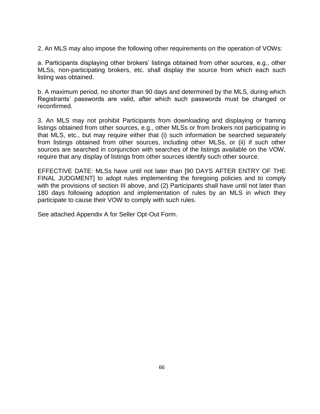2. An MLS may also impose the following other requirements on the operation of VOWs:

a. Participants displaying other brokers' listings obtained from other sources, e.g., other MLSs, non-participating brokers, etc. shall display the source from which each such listing was obtained.

b. A maximum period, no shorter than 90 days and determined by the MLS, during which Registrants' passwords are valid, after which such passwords must be changed or reconfirmed.

3. An MLS may not prohibit Participants from downloading and displaying or framing listings obtained from other sources, e.g., other MLSs or from brokers not participating in that MLS, etc., but may require either that (i) such information be searched separately from listings obtained from other sources, including other MLSs, or (ii) if such other sources are searched in conjunction with searches of the listings available on the VOW, require that any display of listings from other sources identify such other source.

EFFECTIVE DATE: MLSs have until not later than [90 DAYS AFTER ENTRY OF THE FINAL JUDGMENT] to adopt rules implementing the foregoing policies and to comply with the provisions of section III above, and (2) Participants shall have until not later than 180 days following adoption and implementation of rules by an MLS in which they participate to cause their VOW to comply with such rules.

See attached Appendix A for Seller Opt-Out Form.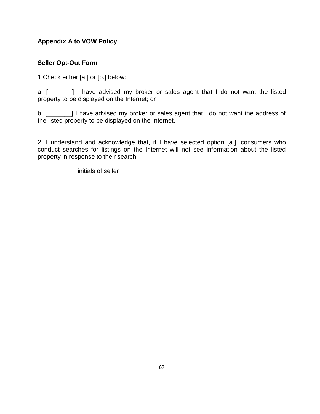# **Appendix A to VOW Policy**

# **Seller Opt-Out Form**

1.Check either [a.] or [b.] below:

a. [\_\_\_\_\_\_\_] I have advised my broker or sales agent that I do not want the listed property to be displayed on the Internet; or

b. [\_\_\_\_\_\_\_] I have advised my broker or sales agent that I do not want the address of the listed property to be displayed on the Internet.

2. I understand and acknowledge that, if I have selected option [a.], consumers who conduct searches for listings on the Internet will not see information about the listed property in response to their search.

\_\_\_\_\_\_\_\_\_\_\_ initials of seller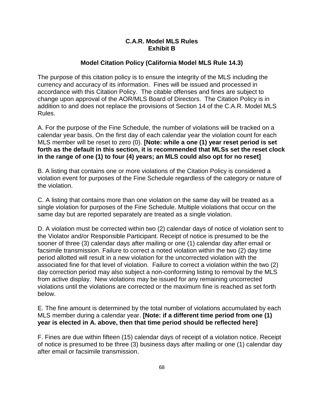#### **C.A.R. Model MLS Rules Exhibit B**

## **Model Citation Policy (California Model MLS Rule 14.3)**

The purpose of this citation policy is to ensure the integrity of the MLS including the currency and accuracy of its information. Fines will be issued and processed in accordance with this Citation Policy. The citable offenses and fines are subject to change upon approval of the AOR/MLS Board of Directors. The Citation Policy is in addition to and does not replace the provisions of Section 14 of the C.A.R. Model MLS Rules.

A. For the purpose of the Fine Schedule, the number of violations will be tracked on a calendar year basis. On the first day of each calendar year the violation count for each MLS member will be reset to zero (0). **[Note: while a one (1) year reset period is set forth as the default in this section, it is recommended that MLSs set the reset clock in the range of one (1) to four (4) years; an MLS could also opt for no reset]**

B. A listing that contains one or more violations of the Citation Policy is considered a violation event for purposes of the Fine Schedule regardless of the category or nature of the violation.

C. A listing that contains more than one violation on the same day will be treated as a single violation for purposes of the Fine Schedule. Multiple violations that occur on the same day but are reported separately are treated as a single violation.

D. A violation must be corrected within two (2) calendar days of notice of violation sent to the Violator and/or Responsible Participant. Receipt of notice is presumed to be the sooner of three (3) calendar days after mailing or one (1) calendar day after email or facsimile transmission. Failure to correct a noted violation within the two (2) day time period allotted will result in a new violation for the uncorrected violation with the associated fine for that level of violation. Failure to correct a violation within the two (2) day correction period may also subject a non-conforming listing to removal by the MLS from active display. New violations may be issued for any remaining uncorrected violations until the violations are corrected or the maximum fine is reached as set forth below.

E. The fine amount is determined by the total number of violations accumulated by each MLS member during a calendar year. **[Note: if a different time period from one (1) year is elected in A. above, then that time period should be reflected here]**

F. Fines are due within fifteen (15) calendar days of receipt of a violation notice. Receipt of notice is presumed to be three (3) business days after mailing or one (1) calendar day after email or facsimile transmission.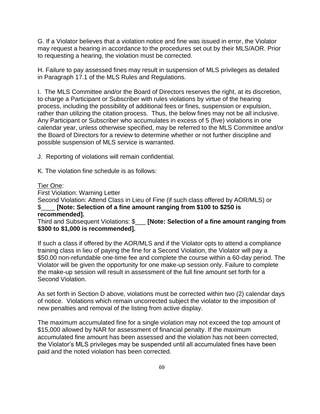G. If a Violator believes that a violation notice and fine was issued in error, the Violator may request a hearing in accordance to the procedures set out by their MLS/AOR. Prior to requesting a hearing, the violation must be corrected.

H. Failure to pay assessed fines may result in suspension of MLS privileges as detailed in Paragraph 17.1 of the MLS Rules and Regulations.

I. The MLS Committee and/or the Board of Directors reserves the right, at its discretion, to charge a Participant or Subscriber with rules violations by virtue of the hearing process, including the possibility of additional fees or fines, suspension or expulsion, rather than utilizing the citation process. Thus, the below fines may not be all inclusive. Any Participant or Subscriber who accumulates in excess of 5 (five) violations in one calendar year, unless otherwise specified, may be referred to the MLS Committee and/or the Board of Directors for a review to determine whether or not further discipline and possible suspension of MLS service is warranted.

J. Reporting of violations will remain confidential.

K. The violation fine schedule is as follows:

#### Tier One:

First Violation: Warning Letter

Second Violation: Attend Class in Lieu of Fine (if such class offered by AOR/MLS) or \$\_\_\_\_ **[Note: Selection of a fine amount ranging from \$100 to \$250 is recommended].** 

Third and Subsequent Violations: \$\_\_\_ **[Note: Selection of a fine amount ranging from \$300 to \$1,000 is recommended].** 

If such a class if offered by the AOR/MLS and if the Violator opts to attend a compliance training class in lieu of paying the fine for a Second Violation, the Violator will pay a \$50.00 non-refundable one-time fee and complete the course within a 60-day period. The Violator will be given the opportunity for one make-up session only. Failure to complete the make-up session will result in assessment of the full fine amount set forth for a Second Violation.

As set forth in Section D above, violations must be corrected within two (2) calendar days of notice. Violations which remain uncorrected subject the violator to the imposition of new penalties and removal of the listing from active display.

The maximum accumulated fine for a single violation may not exceed the top amount of \$15,000 allowed by NAR for assessment of financial penalty. If the maximum accumulated fine amount has been assessed and the violation has not been corrected, the Violator's MLS privileges may be suspended until all accumulated fines have been paid and the noted violation has been corrected.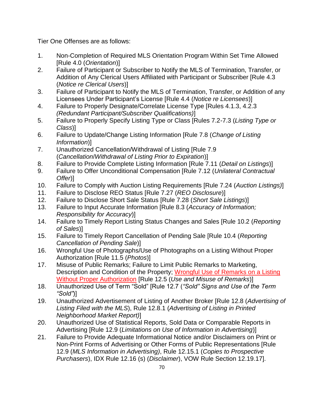Tier One Offenses are as follows:

- 1. Non-Completion of Required MLS Orientation Program Within Set Time Allowed [Rule 4.0 (*Orientation*)]
- 2. Failure of Participant or Subscriber to Notify the MLS of Termination, Transfer, or Addition of Any Clerical Users Affiliated with Participant or Subscriber [Rule 4.3 (*Notice re Clerical Users*)]
- 3. Failure of Participant to Notify the MLS of Termination, Transfer, or Addition of any Licensees Under Participant's License [Rule 4.4 (*Notice re Licensees*)]
- 4. Failure to Properly Designate/Correlate License Type [Rules 4.1.3, 4.2.3 *(Redundant Participant/Subscriber Qualifications)*]
- 5. Failure to Properly Specify Listing Type or Class [Rules 7.2-7.3 (*Listing Type or Class*)]
- 6. Failure to Update/Change Listing Information [Rule 7.8 (*Change of Listing Information*)]
- 7. Unauthorized Cancellation/Withdrawal of Listing [Rule 7.9 (*Cancellation*/*Withdrawal of Listing Prior to Expiration*)]
- 8. Failure to Provide Complete Listing Information [Rule 7.11 (*Detail on Listings*)]
- 9. Failure to Offer Unconditional Compensation [Rule 7.12 (*Unilateral Contractual Offer*)]
- 10. Failure to Comply with Auction Listing Requirements [Rule 7.24 (*Auction Listings)*]
- 11. Failure to Disclose REO Status [Rule 7.27 (*REO Disclosure*)]
- 12. Failure to Disclose Short Sale Status [Rule 7.28 (*Short Sale Listings*)]
- 13. Failure to Input Accurate Information [Rule 8.3 (*Accuracy of Information; Responsibility for Accuracy*)]
- 14. Failure to Timely Report Listing Status Changes and Sales [Rule 10.2 (*Reporting of Sales*)]
- 15. Failure to Timely Report Cancellation of Pending Sale [Rule 10.4 (*Reporting Cancellation of Pending Sale*)]
- 16. Wrongful Use of Photographs/Use of Photographs on a Listing Without Proper Authorization [Rule 11.5 (*Photos*)]
- 17. Misuse of Public Remarks; Failure to Limit Public Remarks to Marketing, Description and Condition of the Property; Wrongful Use of Remarks on a Listing Without Proper Authorization [Rule 12.5 (*Use and Misuse of Remarks*)]
- 18. Unauthorized Use of Term "Sold" [Rule 12.7 (*"Sold" Signs and Use of the Term "Sold"*)]
- 19. Unauthorized Advertisement of Listing of Another Broker [Rule 12.8 (*Advertising of Listing Filed with the MLS*), Rule 12.8.1 (*Advertising of Listing in Printed Neighborhood Market Report)*]
- 20. Unauthorized Use of Statistical Reports, Sold Data or Comparable Reports in Advertising [Rule 12.9 (*Limitations on Use of Information in Advertising*)]
- 21. Failure to Provide Adequate Informational Notice and/or Disclaimers on Print or Non-Print Forms of Advertising or Other Forms of Public Representations [Rule 12.9 (*MLS Information in Advertising)*, Rule 12.15.1 (*Copies to Prospective Purchasers*), IDX Rule 12.16 (s) (*Disclaimer*), VOW Rule Section 12.19.17].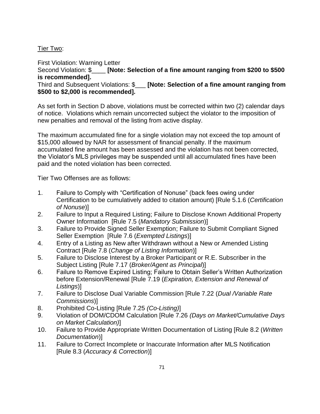## Tier Two:

First Violation: Warning Letter Second Violation: \$\_\_\_\_ **[Note: Selection of a fine amount ranging from \$200 to \$500 is recommended].** 

#### Third and Subsequent Violations: \$\_\_\_ **[Note: Selection of a fine amount ranging from \$500 to \$2,000 is recommended].**

As set forth in Section D above, violations must be corrected within two (2) calendar days of notice. Violations which remain uncorrected subject the violator to the imposition of new penalties and removal of the listing from active display.

The maximum accumulated fine for a single violation may not exceed the top amount of \$15,000 allowed by NAR for assessment of financial penalty. If the maximum accumulated fine amount has been assessed and the violation has not been corrected, the Violator's MLS privileges may be suspended until all accumulated fines have been paid and the noted violation has been corrected.

Tier Two Offenses are as follows:

- 1. Failure to Comply with "Certification of Nonuse" (back fees owing under Certification to be cumulatively added to citation amount) [Rule 5.1.6 (*Certification of Nonuse*)]
- 2. Failure to Input a Required Listing; Failure to Disclose Known Additional Property Owner Information [Rule 7.5 (*Mandatory Submission*)]
- 3. Failure to Provide Signed Seller Exemption; Failure to Submit Compliant Signed Seller Exemption [Rule 7.6 (*Exempted Listings*)]
- 4. Entry of a Listing as New after Withdrawn without a New or Amended Listing Contract [Rule 7.8 (*Change of Listing Information*)]
- 5. Failure to Disclose Interest by a Broker Participant or R.E. Subscriber in the Subject Listing [Rule 7.17 (*Broker/Agent as Principal*)]
- 6. Failure to Remove Expired Listing; Failure to Obtain Seller's Written Authorization before Extension/Renewal [Rule 7.19 (*Expiration, Extension and Renewal of Listings*)]
- 7. Failure to Disclose Dual Variable Commission [Rule 7.22 (*Dual /Variable Rate Commissions*)]
- 8. Prohibited Co-Listing [Rule 7.25 *(Co-Listing)*]
- 9. Violation of DOM/CDOM Calculation [Rule 7.26 *(Days on Market/Cumulative Days on Market Calculation)*]
- 10. Failure to Provide Appropriate Written Documentation of Listing [Rule 8.2 (*Written Documentation*)]
- 11. Failure to Correct Incomplete or Inaccurate Information after MLS Notification [Rule 8.3 (*Accuracy & Correction*)]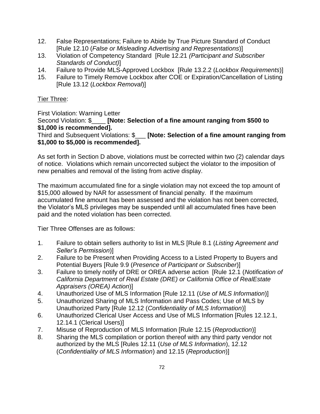- 12. False Representations; Failure to Abide by True Picture Standard of Conduct [Rule 12.10 (*False or Misleading Advertising and Representations*)]
- 13. Violation of Competency Standard [Rule 12.21 *(Participant and Subscriber Standards of Conduct)*]
- 14. Failure to Provide MLS-Approved Lockbox [Rule 13.2.2 (*Lockbox Requirements*)]
- 15. Failure to Timely Remove Lockbox after COE or Expiration/Cancellation of Listing [Rule 13.12 (*Lockbox Removal*)]

# Tier Three:

First Violation: Warning Letter

Second Violation: \$\_\_\_\_ **[Note: Selection of a fine amount ranging from \$500 to \$1,000 is recommended].** 

Third and Subsequent Violations: \$\_\_\_ **[Note: Selection of a fine amount ranging from \$1,000 to \$5,000 is recommended].** 

As set forth in Section D above, violations must be corrected within two (2) calendar days of notice. Violations which remain uncorrected subject the violator to the imposition of new penalties and removal of the listing from active display.

The maximum accumulated fine for a single violation may not exceed the top amount of \$15,000 allowed by NAR for assessment of financial penalty. If the maximum accumulated fine amount has been assessed and the violation has not been corrected, the Violator's MLS privileges may be suspended until all accumulated fines have been paid and the noted violation has been corrected.

Tier Three Offenses are as follows:

- 1. Failure to obtain sellers authority to list in MLS [Rule 8.1 (*Listing Agreement and Seller's Permission*)]
- 2. Failure to be Present when Providing Access to a Listed Property to Buyers and Potential Buyers [Rule 9.9 (*Presence of Participant or Subscriber*)]
- 3. Failure to timely notify of DRE or OREA adverse action [Rule 12.1 (*Notification of California Department of Real Estate (DRE) or California Office of RealEstate Appraisers (OREA) Action*)]
- 4. Unauthorized Use of MLS Information [Rule 12.11 (*Use of MLS Information*)]
- 5. Unauthorized Sharing of MLS Information and Pass Codes; Use of MLS by Unauthorized Party [Rule 12.12 (*Confidentiality of MLS Information*)]
- 6. Unauthorized Clerical User Access and Use of MLS Information [Rules 12.12.1, 12.14.1 (Clerical Users)]
- 7. Misuse of Reproduction of MLS Information [Rule 12.15 (*Reproduction*)]
- 8. Sharing the MLS compilation or portion thereof with any third party vendor not authorized by the MLS [Rules 12.11 (*Use of MLS Information*), 12.12 (*Confidentiality of MLS Information*) and 12.15 (*Reproduction*)]